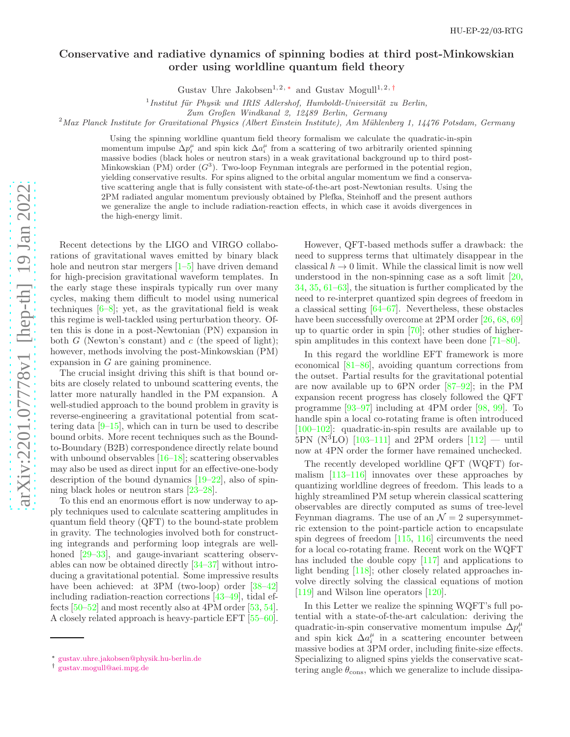## Conservative and radiative dynamics of spinning bodies at third post-Minkowskian order using worldline quantum field theory

Gustav Uhre Jakobsen<sup>1, 2,\*</sup> and Gustav Mogull<sup>1, 2,[†](#page-0-1)</sup>

 $1$ Institut für Physik und IRIS Adlershof, Humboldt-Universität zu Berlin,

Zum Großen Windkanal 2, 12489 Berlin, Germany

 $^{2}$ Max Planck Institute for Gravitational Physics (Albert Einstein Institute), Am Mühlenberg 1, 14476 Potsdam, Germany

Using the spinning worldline quantum field theory formalism we calculate the quadratic-in-spin momentum impulse  $\Delta p_i^{\mu}$  and spin kick  $\Delta a_i^{\mu}$  from a scattering of two arbitrarily oriented spinning massive bodies (black holes or neutron stars) in a weak gravitational background up to third post-Minkowskian  $(PM)$  order  $(G<sup>3</sup>)$ . Two-loop Feynman integrals are performed in the potential region, yielding conservative results. For spins aligned to the orbital angular momentum we find a conservative scattering angle that is fully consistent with state-of-the-art post-Newtonian results. Using the 2PM radiated angular momentum previously obtained by Plefka, Steinhoff and the present authors we generalize the angle to include radiation-reaction effects, in which case it avoids divergences in the high-energy limit.

Recent detections by the LIGO and VIRGO collaborations of gravitational waves emitted by binary black hole and neutron star mergers  $[1-5]$  $[1-5]$  $[1-5]$  $[1-5]$  have driven demand for high-precision gravitational waveform templates. In the early stage these inspirals typically run over many cycles, making them difficult to model using numerical techniques [ [6](#page-10-2) – [8\]](#page-10-3); yet, as the gravitational field is weak this regime is well-tackled using perturbation theory. Often this is done in a post-Newtonian (PN) expansion in both  $G$  (Newton's constant) and  $c$  (the speed of light); however, methods involving the post-Minkowskian (PM) expansion in G are gaining prominence.

The crucial insight driving this shift is that bound orbits are closely related to unbound scattering events, the latter more naturally handled in the PM expansion. A well-studied approach to the bound problem in gravity is reverse-engineering a gravitational potential from scattering data  $[9-15]$ , which can in turn be used to describe bound orbits. More recent techniques such as the Boundto-Boundary (B2B) correspondence directly relate bound with unbound observables  $[16-18]$ ; scattering observables may also be used as direct input for an effective-one-body description of the bound dynamics [\[19](#page-11-3) [–22](#page-11-4)], also of spinning black holes or neutron stars [\[23](#page-11-5)[–28](#page-11-6)].

To this end an enormous effort is now underway to apply techniques used to calculate scattering amplitudes in quantum field theory (QFT) to the bound-state problem in gravity. The technologies involved both for constructing integrands and performing loop integrals are well-honed [\[29](#page-11-7)[–33\]](#page-11-8), and gauge-invariant scattering observables can now be obtained directly [\[34](#page-11-9)[–37\]](#page-11-10) without introducing a gravitational potential. Some impressive results have been achieved: at 3PM (two-loop) order [\[38](#page-11-11)[–42](#page-11-12)] including radiation-reaction corrections [\[43](#page-11-13) [–49](#page-12-0)], tidal effects [\[50](#page-12-1)[–52\]](#page-12-2) and most recently also at 4PM order [\[53,](#page-12-3) [54\]](#page-12-4). A closely related approach is heavy-particle EFT [\[55](#page-12-5)[–60\]](#page-12-6).

However, QFT-based methods suffer a drawback: the need to suppress terms that ultimately disappear in the classical  $\hbar \to 0$  limit. While the classical limit is now well understood in the non-spinning case as a soft limit [\[20](#page-11-14) , [34](#page-11-9) , [35](#page-11-15) , [61](#page-12-7) [–63\]](#page-12-8), the situation is further complicated by the need to re-interpret quantized spin degrees of freedom in a classical setting [\[64](#page-12-9) [–67\]](#page-12-10). Nevertheless, these obstacles have been successfully overcome at 2PM order  $[26, 68, 69]$  $[26, 68, 69]$  $[26, 68, 69]$  $[26, 68, 69]$  $[26, 68, 69]$ up to quartic order in spin [\[70\]](#page-12-13); other studies of higherspin amplitudes in this context have been done [\[71](#page-12-14)[–80\]](#page-12-15).

In this regard the worldline EFT framework is more economical [\[81](#page-12-16) [–86\]](#page-12-17), avoiding quantum corrections from the outset. Partial results for the gravitational potential are now available up to 6PN order [\[87](#page-12-18) [–92](#page-13-0)]; in the PM expansion recent progress has closely followed the QFT programme [\[93](#page-13-1) [–97\]](#page-13-2) including at 4PM order [\[98](#page-13-3) , [99\]](#page-13-4). To handle spin a local co-rotating frame is often introduced [\[100](#page-13-5)[–102\]](#page-13-6): quadratic-in-spin results are available up to  $5PN (N<sup>3</sup>LO)$  [\[103](#page-13-7)[–111\]](#page-13-8) and 2PM orders [\[112\]](#page-13-9) — until now at 4PN order the former have remained unchecked.

The recently developed worldline QFT (WQFT) formalism [\[113](#page-13-10)[–116\]](#page-13-11) innovates over these approaches by quantizing worldline degrees of freedom. This leads to a highly streamlined PM setup wherein classical scattering observables are directly computed as sums of tree-level Feynman diagrams. The use of an  $\mathcal{N}=2$  supersymmetric extension to the point-particle action to encapsulate spin degrees of freedom [\[115](#page-13-12) , [116\]](#page-13-11) circumvents the need for a local co-rotating frame. Recent work on the WQFT has included the double copy [\[117\]](#page-13-13) and applications to light bending [\[118\]](#page-13-14); other closely related approaches involve directly solving the classical equations of motion [\[119\]](#page-13-15) and Wilson line operators [\[120](#page-13-16)].

In this Letter we realize the spinning WQFT's full potential with a state-of-the-art calculation: deriving the quadratic-in-spin conservative momentum impulse  $\Delta p_i^{\mu}$ and spin kick  $\Delta a_i^{\mu}$  in a scattering encounter between massive bodies at 3PM order, including finite-size effects. Specializing to aligned spins yields the conservative scattering angle  $\theta_{\rm cons}$ , which we generalize to include dissipa-

<span id="page-0-0"></span><sup>∗</sup> [gustav.uhre.jakobsen@physik.hu-berlin.de](mailto:gustav.uhre.jakobsen@physik.hu-berlin.de)

<span id="page-0-1"></span><sup>†</sup> [gustav.mogull@aei.mpg.de](mailto:gustav.mogull@aei.mpg.de)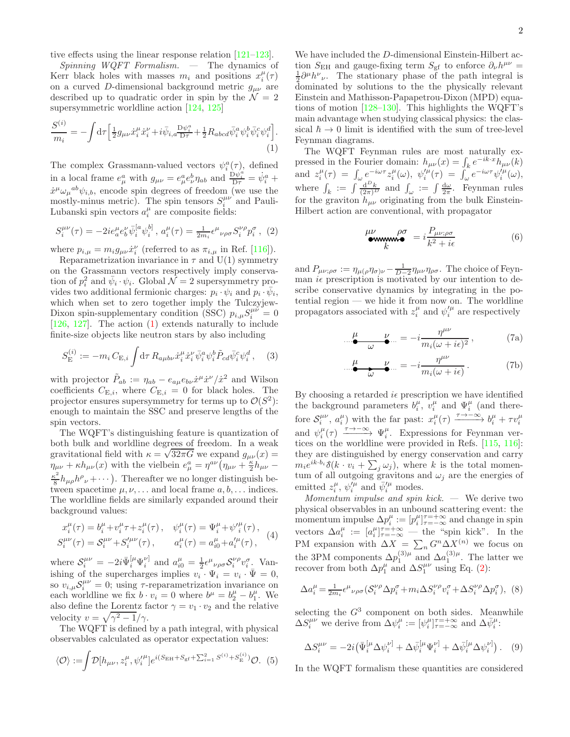tive effects using the linear response relation [\[121](#page-13-17)[–123\]](#page-13-18).

 $Spinning$  WQFT Formalism.  $-$  The dynamics of Kerr black holes with masses  $m_i$  and positions  $x_i^{\mu}(\tau)$ on a curved D-dimensional background metric  $g_{\mu\nu}$  are described up to quadratic order in spin by the  $\mathcal{N} = 2$ supersymmetric worldline action [\[124,](#page-13-19) [125\]](#page-14-0)

$$
\frac{S^{(i)}}{m_i} = -\int d\tau \left[ \frac{1}{2} g_{\mu\nu} \dot{x}_i^{\mu} \dot{x}_i^{\nu} + i \bar{\psi}_{i,a} \frac{\mathrm{D} \psi_i^a}{\mathrm{D} \tau} + \frac{1}{2} R_{abcd} \bar{\psi}_i^a \psi_i^b \bar{\psi}_i^c \psi_i^d \right].
$$
\n(1)

The complex Grassmann-valued vectors  $\psi_i^a(\tau)$ , defined in a local frame  $e^a_\mu$  with  $g_{\mu\nu} = e^a_\mu e^b_\nu \eta_{ab}$  and  $\frac{\partial \psi^a_i}{\partial \tau} = \dot{\psi}^a_i +$  $\dot{x}^{\mu}\omega_{\mu}{}^{ab}\psi_{i,b}$ , encode spin degrees of freedom (we use the mostly-minus metric). The spin tensors  $S_i^{\mu\nu}$  and Pauli-Lubanski spin vectors  $a_i^{\mu}$  are composite fields:

$$
S_i^{\mu\nu}(\tau) = -2ie_a^{\mu}e_b^{\nu}\bar{\psi}_i^{[a}\psi_i^{b]}, \ a_i^{\mu}(\tau) = \frac{1}{2m_i}\epsilon^{\mu}{}_{\nu\rho\sigma}S_i^{\nu\rho}p_i^{\sigma}, \ (2)
$$

where  $p_{i,\mu} = m_i g_{\mu\nu} \dot{x}_i^{\nu}$  (referred to as  $\pi_{i,\mu}$  in Ref. [\[116](#page-13-11)]).

Reparametrization invariance in  $\tau$  and U(1) symmetry on the Grassmann vectors respectively imply conservation of  $p_i^2$  and  $\bar{\psi}_i \cdot \psi_i$ . Global  $\mathcal{N} = 2$  supersymmetry provides two additional fermionic charges:  $p_i \cdot \psi_i$  and  $p_i \cdot \bar{\psi}_i$ , which when set to zero together imply the Tulczyjew-Dixon spin-supplementary condition (SSC)  $p_{i,\mu} S_i^{\mu\nu} = 0$ [\[126,](#page-14-1) [127\]](#page-14-2). The action [\(1\)](#page-1-0) extends naturally to include finite-size objects like neutron stars by also including

$$
S_{\mathcal{E}}^{(i)} := -m_i C_{\mathcal{E},i} \int \! \mathrm{d}\tau \, R_{a\mu b\nu} \dot{x}_i^\mu \dot{x}_i^\nu \bar{\psi}_i^a \psi_i^b \tilde{P}_{cd} \bar{\psi}_i^c \psi_i^d \,, \quad (3)
$$

with projector  $\tilde{P}_{ab} := \eta_{ab} - e_{a\mu}e_{b\nu}\dot{x}^{\mu}\dot{x}^{\nu}/\dot{x}^2$  and Wilson coefficients  $C_{\text{E},i}$ , where  $C_{\text{E},i} = 0$  for black holes. The projector ensures supersymmetry for terms up to  $\mathcal{O}(S^2)$ : enough to maintain the SSC and preserve lengths of the spin vectors.

The WQFT's distinguishing feature is quantization of both bulk and worldline degrees of freedom. In a weak gravitational field with  $\kappa = \sqrt{32\pi G}$  we expand  $g_{\mu\nu}(x) =$  $\eta_{\mu\nu} + \kappa h_{\mu\nu}(x)$  with the vielbein  $e^a_\mu = \eta^{a\nu} (\eta_{\mu\nu} + \frac{\kappa}{2} h_{\mu\nu} \kappa^2$  $\frac{\kappa^2}{8}h_{\mu\rho}h^{\rho}{}_{\nu}+\cdots$ ). Thereafter we no longer distinguish between spacetime  $\mu, \nu, \ldots$  and local frame  $a, b, \ldots$  indices. The worldline fields are similarly expanded around their background values:

$$
x_i^{\mu}(\tau) = b_i^{\mu} + v_i^{\mu} \tau + z_i^{\mu}(\tau), \quad \psi_i^{\mu}(\tau) = \Psi_i^{\mu} + \psi_i^{\prime \mu}(\tau),
$$
  

$$
S_i^{\mu\nu}(\tau) = S_i^{\mu\nu} + S_i^{\prime \mu\nu}(\tau), \qquad a_i^{\mu}(\tau) = a_{i0}^{\mu} + a_i^{\prime \mu}(\tau),
$$
 (4)

where  $\mathcal{S}_i^{\mu\nu} = -2i \bar{\Psi}_i^{[\mu} \Psi_i^{\nu]}$  and  $a_{i0}^{\mu} = \frac{1}{2} \epsilon^{\mu}{}_{\nu\rho\sigma} \mathcal{S}_i^{\nu\rho} v_i^{\sigma}$ . Vanishing of the supercharges implies  $v_i \cdot \Psi_i = v_i \cdot \bar{\Psi} = 0$ , so  $v_{i,\mu} S_i^{\mu\nu} = 0$ ; using  $\tau$ -reparametrization invariance on each worldline we fix  $b \cdot v_i = 0$  where  $b^{\mu} = b^{\mu}_2 - b^{\mu}_1$ . We also define the Lorentz factor  $\gamma = v_1 \cdot v_2$  and the relative velocity  $v = \sqrt{\gamma^2 - 1}/\gamma$ .

The WQFT is defined by a path integral, with physical observables calculated as operator expectation values:

$$
\langle \mathcal{O} \rangle := \int \mathcal{D}[h_{\mu\nu}, z_i^{\mu}, \psi_i^{\prime \mu}] e^{i(S_{\rm EH} + S_{\rm gf} + \sum_{i=1}^2 S^{(i)} + S_{\rm E}^{(i)})} \mathcal{O}. \tag{5}
$$

We have included the D-dimensional Einstein-Hilbert action  $S_{\text{EH}}$  and gauge-fixing term  $S_{\text{gf}}$  to enforce  $\partial_{\nu}h^{\mu\nu}$  =  $\frac{1}{2}\partial^{\mu}h^{\nu}{}_{\nu}$ . The stationary phase of the path integral is dominated by solutions to the the physically relevant Einstein and Mathisson-Papapetrou-Dixon (MPD) equations of motion [\[128](#page-14-3)[–130\]](#page-14-4). This highlights the WQFT's main advantage when studying classical physics: the classical  $\hbar \to 0$  limit is identified with the sum of tree-level Feynman diagrams.

<span id="page-1-0"></span>The WQFT Feynman rules are most naturally expressed in the Fourier domain:  $h_{\mu\nu}(x) = \int_k e^{-ik \cdot x} h_{\mu\nu}(k)$ and  $z_i^{\mu}(\tau) = \int_{\omega} e^{-i\omega\tau} z_i^{\mu}(\omega), \psi_i^{\prime\mu}(\tau) = \int_{\omega} e^{-i\omega\tau} \psi_i^{\prime\mu}(\omega),$ where  $\int_k := \int \frac{d^D k}{(2\pi)^D}$  and  $\int_{\omega} := \int \frac{d\omega}{2\pi}$ . Feynman rules for the graviton  $h_{\mu\nu}$  originating from the bulk Einstein-Hilbert action are conventional, with propagator

<span id="page-1-3"></span>
$$
\begin{array}{ll}\n\mu\nu & \rho\sigma \\
k & k^2 + i\epsilon\n\end{array} = i \frac{P_{\mu\nu;\rho\sigma}}{k^2 + i\epsilon} \tag{6}
$$

<span id="page-1-1"></span>and  $P_{\mu\nu;\rho\sigma} := \eta_{\mu(\rho}\eta_{\sigma)\nu} - \frac{1}{D-2}\eta_{\mu\nu}\eta_{\rho\sigma}$ . The choice of Feynman  $i\epsilon$  prescription is motivated by our intention to describe conservative dynamics by integrating in the potential region — we hide it from now on. The worldline propagators associated with  $z_i^{\mu}$  and  $\psi_i^{\prime \mu}$  are respectively

<span id="page-1-2"></span>
$$
\mu_{\omega} \nu_{\omega} = -i \frac{\eta^{\mu \nu}}{m_i(\omega + i\epsilon)^2},
$$
 (7a)

$$
\mu_{\omega} \nu_{\omega} = -i \frac{\eta^{\mu \nu}}{m_i(\omega + i\epsilon)}.
$$
 (7b)

By choosing a retarded  $i\epsilon$  prescription we have identified the background parameters  $b_i^{\mu}$ ,  $v_i^{\mu}$  and  $\Psi_i^{\mu}$  (and therefore  $S_i^{\mu\nu}$ ,  $a_i^{\mu}$  with the far past:  $x_i^{\mu}(\tau) \xrightarrow{\tau \to -\infty} b_i^{\mu} + \tau v_i^{\mu}$ and  $\psi_i^{\mu}(\tau) \longrightarrow^{\tau \to -\infty} \Psi_i^{\mu}$ . Expressions for Feynman vertices on the worldline were provided in Refs. [\[115](#page-13-12), [116\]](#page-13-11): they are distinguished by energy conservation and carry  $m_i e^{ik \cdot b_i} \delta(k \cdot v_i + \sum_j \omega_j)$ , where k is the total momentum of all outgoing gravitons and  $\omega_j$  are the energies of emitted  $z_i^{\mu}, \psi_i^{\prime \mu}$  and  $\bar{\psi}_i^{\prime \mu}$  modes.

Momentum impulse and spin kick. — We derive two physical observables in an unbound scattering event: the momentum impulse  $\Delta p_i^{\mu} := [p_i^{\mu}]_{\tau=-\infty}^{\tau=+\infty}$  and change in spin vectors  $\Delta a_i^{\mu} := [a_i^{\mu}]_{\tau=-\infty}^{\tau=+\infty}$  — the "spin kick". In the PM expansion with  $\Delta X = \sum_n G^n \Delta X^{(n)}$  we focus on the 3PM components  $\Delta p_1^{(3)\mu}$  and  $\Delta a_1^{(3)\mu}$ . The latter we recover from both  $\Delta p_1^{\mu}$  and  $\Delta S_1^{\mu\nu}$  using Eq. [\(2\)](#page-1-1):

$$
\Delta a_i^{\mu} = \frac{1}{2m_i} \epsilon^{\mu}{}_{\nu\rho\sigma} \left( \mathcal{S}_i^{\nu\rho} \Delta p_i^{\sigma} + m_i \Delta S_i^{\nu\rho} v_i^{\sigma} + \Delta S_i^{\nu\rho} \Delta p_i^{\sigma} \right), \tag{8}
$$

selecting the  $G^3$  component on both sides. Meanwhile  $\Delta S_i^{\mu\nu}$  we derive from  $\Delta \psi_i^{\mu} := [\psi_i^{\mu}]_{\tau=-\infty}^{\tau=\pm \infty}$  and  $\Delta \bar{\psi}_i^{\mu}$ :

$$
\Delta S_i^{\mu\nu} = -2i \left( \bar{\Psi}_i^{\left[ \mu \right]} \Delta \psi_i^{\nu \left] } + \Delta \bar{\psi}_i^{\left[ \mu \right]} \Psi_i^{\nu \left] } + \Delta \bar{\psi}_i^{\left[ \mu \right]} \Delta \psi_i^{\nu \left] } \right). \tag{9}
$$

In the WQFT formalism these quantities are considered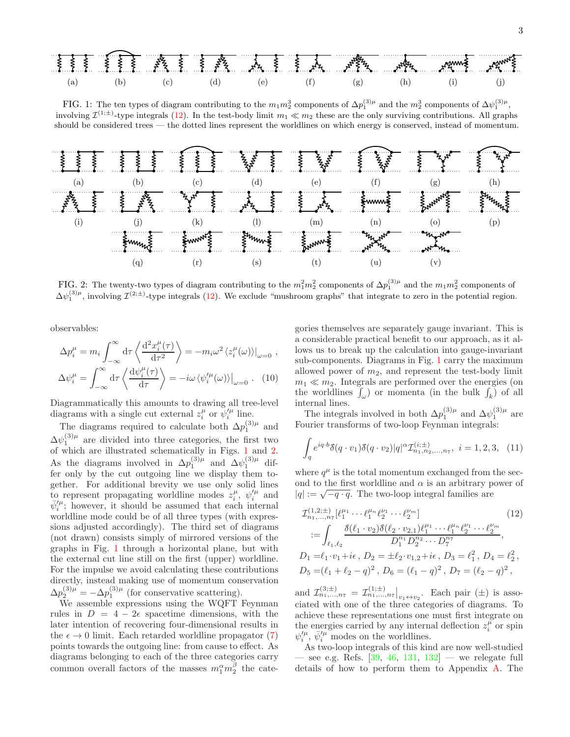<span id="page-2-1"></span>

FIG. 1: The ten types of diagram contributing to the  $m_1 m_2^3$  components of  $\Delta p_1^{(3)\mu}$  and the  $m_2^3$  components of  $\Delta \psi_1^{(3)\mu}$ , involving  $\mathcal{I}^{(1;\pm)}$ -type integrals [\(12\)](#page-2-0). In the test-body limit  $m_1 \ll m_2$  these are the only surviving contributions. All graphs should be considered trees — the dotted lines represent the worldlines on which energy is conserved, instead of momentum.

<span id="page-2-2"></span>

FIG. 2: The twenty-two types of diagram contributing to the  $m_1^2m_2^2$  components of  $\Delta p_1^{(3)\mu}$  and the  $m_1m_2^2$  components of  $\Delta\psi_1^{(3)\mu}$ , involving  $\mathcal{I}^{(2;\pm)}$ -type integrals [\(12\)](#page-2-0). We exclude "mushroom graphs" that integrate to zero in the potential region.

observables:

$$
\Delta p_i^{\mu} = m_i \int_{-\infty}^{\infty} d\tau \left\langle \frac{d^2 x_i^{\mu}(\tau)}{d\tau^2} \right\rangle = -m_i \omega^2 \left\langle z_i^{\mu}(\omega) \right\rangle|_{\omega=0},
$$
  

$$
\Delta \psi_i^{\mu} = \int_{-\infty}^{\infty} d\tau \left\langle \frac{d\psi_i^{\mu}(\tau)}{d\tau} \right\rangle = -i\omega \left\langle \psi_i^{\prime \mu}(\omega) \right\rangle|_{\omega=0}. \quad (10)
$$

Diagrammatically this amounts to drawing all tree-level diagrams with a single cut external  $z_i^{\mu}$  or  $\psi_i^{\prime \mu}$  line.

The diagrams required to calculate both  $\Delta p_1^{(3)\mu}$  and  $\Delta\psi_1^{(3)\mu}$  are divided into three categories, the first two of which are illustrated schematically in Figs. [1](#page-2-1) and [2.](#page-2-2) As the diagrams involved in  $\Delta p_1^{(3)\mu}$  and  $\Delta \psi_1^{(3)\mu}$  differ only by the cut outgoing line we display them together. For additional brevity we use only solid lines to represent propagating worldline modes  $z_i^{\mu}$ ,  $\psi_i^{\prime \mu}$  and  $\bar{\psi}'^{\mu}$ ; however, it should be assumed that each internal worldline mode could be of all three types (with expressions adjusted accordingly). The third set of diagrams (not drawn) consists simply of mirrored versions of the graphs in Fig. [1](#page-2-1) through a horizontal plane, but with the external cut line still on the first (upper) worldline. For the impulse we avoid calculating these contributions directly, instead making use of momentum conservation  $\Delta p_2^{(3)\mu} = -\Delta p_1^{(3)\mu}$  (for conservative scattering).

We assemble expressions using the WQFT Feynman rules in  $D = 4 - 2\epsilon$  spacetime dimensions, with the later intention of recovering four-dimensional results in the  $\epsilon \to 0$  limit. Each retarded worldline propagator [\(7\)](#page-1-2) points towards the outgoing line: from cause to effect. As diagrams belonging to each of the three categories carry common overall factors of the masses  $m_1^{\alpha}m_2^{\beta}$  the cate-

gories themselves are separately gauge invariant. This is a considerable practical benefit to our approach, as it allows us to break up the calculation into gauge-invariant sub-components. Diagrams in Fig. [1](#page-2-1) carry the maximum allowed power of  $m_2$ , and represent the test-body limit  $m_1 \ll m_2$ . Integrals are performed over the energies (on the worldlines  $\int_{\omega}$  or momenta (in the bulk  $\int_{k}$ ) of all internal lines.

The integrals involved in both  $\Delta p_1^{(3)\mu}$  and  $\Delta \psi_1^{(3)\mu}$  are Fourier transforms of two-loop Feynman integrals:

<span id="page-2-3"></span>
$$
\int_{q} e^{iq \cdot b} \delta(q \cdot v_1) \delta(q \cdot v_2) |q|^{\alpha} \mathcal{I}_{n_1, n_2, \dots, n_7}^{(i; \pm)}, \quad i = 1, 2, 3, \quad (11)
$$

where  $q^{\mu}$  is the total momentum exchanged from the second to the first worldline and  $\alpha$  is an arbitrary power of  $|q| := \sqrt{-q \cdot q}$ . The two-loop integral families are

<span id="page-2-0"></span>
$$
\mathcal{I}_{n_1,\ldots,n_7}^{(1,2;\pm)}[\ell_1^{\mu_1}\cdots\ell_1^{\mu_n}\ell_2^{\nu_1}\cdots\ell_2^{\nu_m}]
$$
\n
$$
:= \int_{\ell_1,\ell_2} \frac{\delta(\ell_1 \cdot v_2)\delta(\ell_2 \cdot v_{2,1})\ell_1^{\mu_1}\cdots\ell_1^{\mu_n}\ell_2^{\nu_1}\cdots\ell_2^{\nu_m}}{D_1^{n_1}D_2^{n_2}\cdots D_7^{n_7}},
$$
\n
$$
D_1 = \ell_1 \cdot v_1 + i\epsilon, \ D_2 = \pm \ell_2 \cdot v_{1,2} + i\epsilon, \ D_3 = \ell_1^2, \ D_4 = \ell_2^2,
$$
\n
$$
D_5 = (\ell_1 + \ell_2 - q)^2, \ D_6 = (\ell_1 - q)^2, \ D_7 = (\ell_2 - q)^2,
$$

and  $\mathcal{I}_{n_1,...,n_7}^{(3;\pm)} = \mathcal{I}_{n_1,...,n_7}^{(1;\pm)}\big|_{v_1\leftrightarrow v_2}$ . Each pair ( $\pm$ ) is associated with one of the three categories of diagrams. To achieve these representations one must first integrate on the energies carried by any internal deflection  $z_i^{\mu}$  or spin  $\psi_i^{\prime \mu}, \bar{\psi}_i^{\prime \mu}$  modes on the worldlines.

As two-loop integrals of this kind are now well-studied — see e.g. Refs.  $[39, 46, 131, 132]$  $[39, 46, 131, 132]$  $[39, 46, 131, 132]$  $[39, 46, 131, 132]$  $[39, 46, 131, 132]$  $[39, 46, 131, 132]$  — we relegate full details of how to perform them to Appendix [A.](#page-5-0) The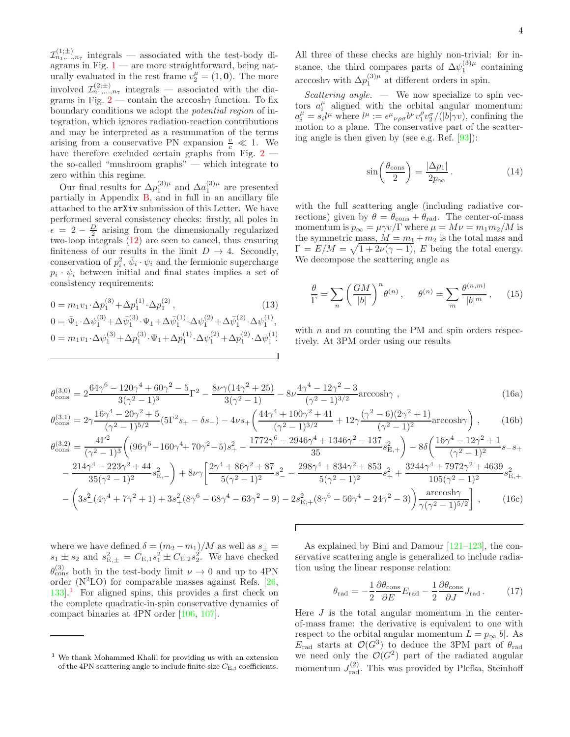$\mathcal{I}_{n_1,...,n_7}^{(1;\pm)}$  integrals — associated with the test-body diagrams in Fig.  $1$  — are more straightforward, being naturally evaluated in the rest frame  $v_2^{\mu} = (1, 0)$ . The more involved  $\mathcal{I}_{n_1,...,n_7}^{(2;\pm)}$  integrals — associated with the dia-grams in Fig. [2](#page-2-2) — contain the arccosh $\gamma$  function. To fix boundary conditions we adopt the potential region of integration, which ignores radiation-reaction contributions and may be interpreted as a resummation of the terms arising from a conservative PN expansion  $\frac{v}{c} \ll 1$ . We have therefore excluded certain graphs from Fig. [2](#page-2-2) the so-called "mushroom graphs" — which integrate to zero within this regime.

Our final results for  $\Delta p_1^{(3)\mu}$  and  $\Delta a_1^{(3)\mu}$  are presented partially in Appendix [B,](#page-7-0) and in full in an ancillary file attached to the arXiv submission of this Letter. We have performed several consistency checks: firstly, all poles in  $\epsilon = 2 - \frac{D}{2}$  arising from the dimensionally regularized two-loop integrals [\(12\)](#page-2-0) are seen to cancel, thus ensuring finiteness of our results in the limit  $D \rightarrow 4$ . Secondly, conservation of  $p_i^2$ ,  $\bar{\psi}_i \cdot \psi_i$  and the fermionic supercharge  $p_i \cdot \psi_i$  between initial and final states implies a set of consistency requirements:

$$
0 = m_1 v_1 \cdot \Delta p_1^{(3)} + \Delta p_1^{(1)} \cdot \Delta p_1^{(2)},
$$
\n
$$
0 = \bar{\Psi}_1 \cdot \Delta \psi_1^{(3)} + \Delta \bar{\psi}_1^{(3)} \cdot \Psi_1 + \Delta \bar{\psi}_1^{(1)} \cdot \Delta \psi_1^{(2)} + \Delta \bar{\psi}_1^{(2)} \cdot \Delta \psi_1^{(1)},
$$
\n
$$
0 = m_1 v_1 \cdot \Delta \psi_1^{(3)} + \Delta p_1^{(3)} \cdot \Psi_1 + \Delta p_1^{(1)} \cdot \Delta \psi_1^{(2)} + \Delta p_1^{(2)} \cdot \Delta \psi_1^{(1)}.
$$
\n(13)

All three of these checks are highly non-trivial: for instance, the third compares parts of  $\Delta \psi_1^{(3)\mu}$  containing arccosh $\gamma$  with  $\Delta p_1^{(3)\mu}$  at different orders in spin.

Scattering angle.  $-$  We now specialize to spin vectors  $a_i^{\mu}$  aligned with the orbital angular momentum:  $a_i^{\mu} = s_i l^{\mu}$  where  $l^{\mu} := \epsilon^{\mu}{}_{\nu\rho\sigma} b^{\nu} v_1^{\rho} v_2^{\sigma}/(|b|\gamma v)$ , confining the motion to a plane. The conservative part of the scattering angle is then given by (see e.g. Ref. [\[93](#page-13-1)]):

$$
\sin\left(\frac{\theta_{\text{cons}}}{2}\right) = \frac{|\Delta p_1|}{2p_{\infty}}.
$$
\n(14)

with the full scattering angle (including radiative corrections) given by  $\theta = \theta_{\text{cons}} + \theta_{\text{rad}}$ . The center-of-mass momentum is  $p_{\infty} = \mu \gamma v / \Gamma$  where  $\mu = M \nu = m_1 m_2 / M$  is the symmetric mass,  $M = m_1 + m_2$  is the total mass and  $\Gamma = E/M = \sqrt{1 + 2\nu(\gamma - 1)}$ , E being the total energy. We decompose the scattering angle as

<span id="page-3-1"></span>
$$
\frac{\theta}{\Gamma} = \sum_{n} \left( \frac{GM}{|b|} \right)^n \theta^{(n)}, \quad \theta^{(n)} = \sum_{m} \frac{\theta^{(n,m)}}{|b|^m}, \quad (15)
$$

with  $n$  and  $m$  counting the PM and spin orders respectively. At 3PM order using our results

$$
\theta_{\text{cons}}^{(3,0)} = 2 \frac{64\gamma^6 - 120\gamma^4 + 60\gamma^2 - 5}{3(\gamma^2 - 1)^3} \Gamma^2 - \frac{8\nu\gamma(14\gamma^2 + 25)}{3(\gamma^2 - 1)} - 8\nu \frac{4\gamma^4 - 12\gamma^2 - 3}{(\gamma^2 - 1)^{3/2}} \text{arccosh}\gamma \tag{16a}
$$

$$
\theta_{\text{cons}}^{(3,1)} = 2\gamma \frac{16\gamma^4 - 20\gamma^2 + 5}{(\gamma^2 - 1)^{5/2}} (5\Gamma^2 s_+ - \delta s_-) - 4\nu s_+ \left( \frac{44\gamma^4 + 100\gamma^2 + 41}{(\gamma^2 - 1)^{3/2}} + 12\gamma \frac{(\gamma^2 - 6)(2\gamma^2 + 1)}{(\gamma^2 - 1)^2} \text{arccosh}\gamma \right) ,\tag{16b}
$$

$$
\theta_{\text{cons}}^{(3,2)} = \frac{4\Gamma^2}{(\gamma^2 - 1)^3} \left( (96\gamma^6 - 160\gamma^4 + 70\gamma^2 - 5)s_+^2 - \frac{1772\gamma^6 - 2946\gamma^4 + 1346\gamma^2 - 137}{35}s_{\text{E},+}^2 \right) - 8\delta \left( \frac{16\gamma^4 - 12\gamma^2 + 1}{(\gamma^2 - 1)^2}s_{-s+}^2 \right)
$$
  

$$
- \frac{214\gamma^4 - 223\gamma^2 + 44}{35(\gamma^2 - 1)^2}s_{\text{E},-}^2 \right) + 8\nu\gamma \left[ \frac{2\gamma^4 + 86\gamma^2 + 87}{5(\gamma^2 - 1)^2}s_{-}^2 - \frac{298\gamma^4 + 834\gamma^2 + 853}{5(\gamma^2 - 1)^2}s_{+}^2 + \frac{3244\gamma^4 + 7972\gamma^2 + 4639}{105(\gamma^2 - 1)^2}s_{\text{E},+}^2 \right]
$$

$$
- \left( 3s_-^2(4\gamma^4 + 7\gamma^2 + 1) + 3s_+^2(8\gamma^6 - 68\gamma^4 - 63\gamma^2 - 9) - 2s_{\text{E},+}^2(8\gamma^6 - 56\gamma^4 - 24\gamma^2 - 3) \right) \frac{\arccosh\gamma}{\gamma(\gamma^2 - 1)^{5/2}} \right], \qquad (16c)
$$

Г

where we have defined  $\delta = (m_2 - m_1)/M$  as well as  $s_{\pm} =$  $s_1 \pm s_2$  and  $s_{E,\pm}^2 = C_{E,1} s_1^2 \pm C_{E,2} s_2^2$ . We have checked  $\theta_{\text{cons}}^{(3)}$  both in the test-body limit  $\nu \to 0$  and up to 4PN order  $(N^2LO)$  for comparable masses against Refs. [\[26](#page-11-16), [133](#page-14-7)].[1](#page-3-0) For aligned spins, this provides a first check on the complete quadratic-in-spin conservative dynamics of compact binaries at 4PN order [\[106,](#page-13-20) [107\]](#page-13-21).

As explained by Bini and Damour [\[121](#page-13-17)[–123\]](#page-13-18), the conservative scattering angle is generalized to include radiation using the linear response relation:

$$
\theta_{\rm rad} = -\frac{1}{2} \frac{\partial \theta_{\rm cons}}{\partial E} E_{\rm rad} - \frac{1}{2} \frac{\partial \theta_{\rm cons}}{\partial J} J_{\rm rad} \,. \tag{17}
$$

Here  $J$  is the total angular momentum in the centerof-mass frame: the derivative is equivalent to one with respect to the orbital angular momentum  $L = p_{\infty}|b|$ . As  $E_{\text{rad}}$  starts at  $\mathcal{O}(G^3)$  to deduce the 3PM part of  $\theta_{\text{rad}}$ we need only the  $\mathcal{O}(G^2)$  part of the radiated angular momentum  $J_{\text{rad}}^{(2)}$ . This was provided by Plefka, Steinhoff

<span id="page-3-0"></span> $^{\rm 1}$  We thank Mohammed Khalil for providing us with an extension of the 4PN scattering angle to include finite-size  $C_{\text{E},i}$  coefficients.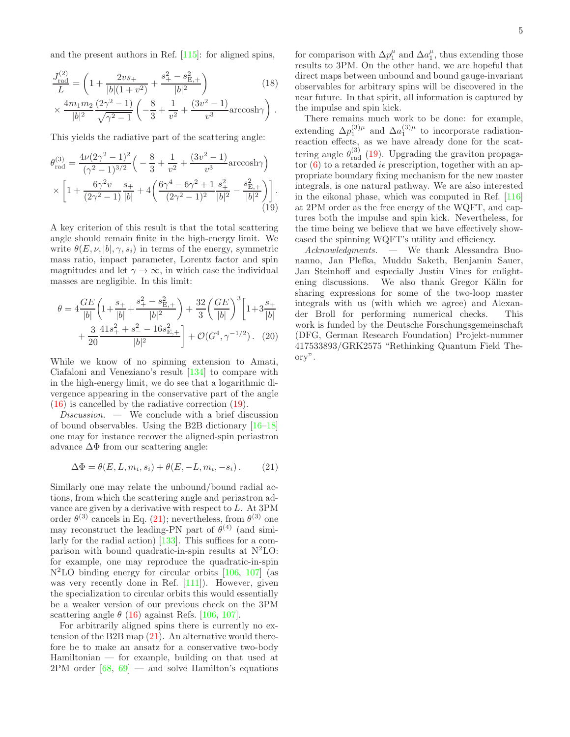$$
\frac{J_{\text{rad}}^{(2)}}{L} = \left(1 + \frac{2vs_{+}}{|b|(1+v^{2})} + \frac{s_{+}^{2} - s_{\text{E},+}^{2}}{|b|^{2}}\right)
$$
\n
$$
\times \frac{4m_{1}m_{2}}{|b|^{2}} \frac{(2\gamma^{2} - 1)}{\sqrt{\gamma^{2} - 1}} \left(-\frac{8}{3} + \frac{1}{v^{2}} + \frac{(3v^{2} - 1)}{v^{3}}\arccosh\gamma\right).
$$
\n(18)

This yields the radiative part of the scattering angle:

$$
\theta_{\text{rad}}^{(3)} = \frac{4\nu(2\gamma^2 - 1)^2}{(\gamma^2 - 1)^{3/2}} \left( -\frac{8}{3} + \frac{1}{\nu^2} + \frac{(3\nu^2 - 1)}{\nu^3} \arccosh\gamma \right) \times \left[ 1 + \frac{6\gamma^2 \nu}{(2\gamma^2 - 1)} \frac{s_+}{|b|} + 4 \left( \frac{6\gamma^4 - 6\gamma^2 + 1}{(2\gamma^2 - 1)^2} \frac{s_+^2}{|b|^2} - \frac{s_{\text{E},+}^2}{|b|^2} \right) \right].
$$
\n(19)

A key criterion of this result is that the total scattering angle should remain finite in the high-energy limit. We write  $\theta(E, \nu, |b|, \gamma, s_i)$  in terms of the energy, symmetric mass ratio, impact parameter, Lorentz factor and spin magnitudes and let  $\gamma \to \infty$ , in which case the individual masses are negligible. In this limit:

$$
\theta = 4 \frac{GE}{|b|} \left( 1 + \frac{s_+}{|b|} + \frac{s_+^2 - s_{\text{E},+}^2}{|b|^2} \right) + \frac{32}{3} \left( \frac{GE}{|b|} \right)^3 \left[ 1 + 3 \frac{s_+}{|b|} + \frac{3}{20} \frac{41s_+^2 + s_-^2 - 16s_{\text{E},+}^2}{|b|^2} \right] + \mathcal{O}(G^4, \gamma^{-1/2}). \quad (20)
$$

While we know of no spinning extension to Amati, Ciafaloni and Veneziano's result [\[134\]](#page-14-8) to compare with in the high-energy limit, we do see that a logarithmic divergence appearing in the conservative part of the angle [\(16\)](#page-3-1) is cancelled by the radiative correction [\(19\)](#page-4-0).

 $Discussion.$  — We conclude with a brief discussion of bound observables. Using the B2B dictionary [\[16](#page-11-1)[–18\]](#page-11-2) one may for instance recover the aligned-spin periastron advance  $\Delta\Phi$  from our scattering angle:

<span id="page-4-1"></span>
$$
\Delta \Phi = \theta(E, L, m_i, s_i) + \theta(E, -L, m_i, -s_i). \tag{21}
$$

Similarly one may relate the unbound/bound radial actions, from which the scattering angle and periastron advance are given by a derivative with respect to L. At 3PM order  $\theta^{(3)}$  cancels in Eq. [\(21\)](#page-4-1); nevertheless, from  $\theta^{(3)}$  one may reconstruct the leading-PN part of  $\theta^{(4)}$  (and similarly for the radial action) [\[133\]](#page-14-7). This suffices for a comparison with bound quadratic-in-spin results at  $N^2LO$ : for example, one may reproduce the quadratic-in-spin  $N^2LO$  binding energy for circular orbits [\[106,](#page-13-20) [107\]](#page-13-21) (as was very recently done in Ref. [\[111](#page-13-8)]). However, given the specialization to circular orbits this would essentially be a weaker version of our previous check on the 3PM scattering angle  $\theta$  [\(16\)](#page-3-1) against Refs. [\[106](#page-13-20), [107](#page-13-21)].

For arbitrarily aligned spins there is currently no extension of the B2B map [\(21\)](#page-4-1). An alternative would therefore be to make an ansatz for a conservative two-body Hamiltonian — for example, building on that used at  $2PM$  order  $[68, 69]$  $[68, 69]$  $[68, 69]$  — and solve Hamilton's equations

for comparison with  $\Delta p_1^{\mu}$  and  $\Delta a_1^{\mu}$ , thus extending those results to 3PM. On the other hand, we are hopeful that direct maps between unbound and bound gauge-invariant observables for arbitrary spins will be discovered in the near future. In that spirit, all information is captured by the impulse and spin kick.

There remains much work to be done: for example, extending  $\Delta p_1^{(3)\mu}$  and  $\Delta a_1^{(3)\mu}$  to incorporate radiationreaction effects, as we have already done for the scattering angle  $\theta_{\text{rad}}^{(3)}$  [\(19\)](#page-4-0). Upgrading the graviton propagator  $(6)$  to a retarded *i* $\epsilon$  prescription, together with an appropriate boundary fixing mechanism for the new master integrals, is one natural pathway. We are also interested in the eikonal phase, which was computed in Ref. [\[116](#page-13-11)] at 2PM order as the free energy of the WQFT, and captures both the impulse and spin kick. Nevertheless, for the time being we believe that we have effectively showcased the spinning WQFT's utility and efficiency.

<span id="page-4-0"></span>Acknowledgments. — We thank Alessandra Buonanno, Jan Plefka, Muddu Saketh, Benjamin Sauer, Jan Steinhoff and especially Justin Vines for enlightening discussions. We also thank Gregor Kälin for sharing expressions for some of the two-loop master integrals with us (with which we agree) and Alexander Broll for performing numerical checks. This work is funded by the Deutsche Forschungsgemeinschaft (DFG, German Research Foundation) Projekt-nummer 417533893/GRK2575 "Rethinking Quantum Field Theory".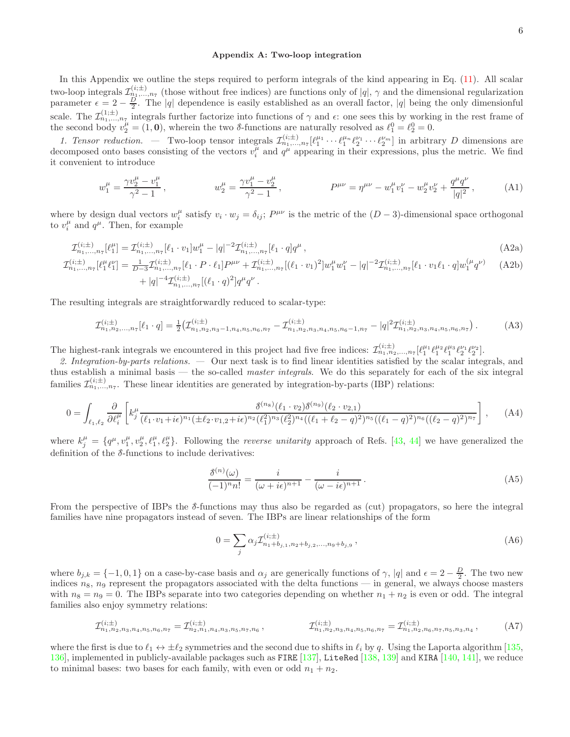## <span id="page-5-0"></span>Appendix A: Two-loop integration

In this Appendix we outline the steps required to perform integrals of the kind appearing in Eq. [\(11\)](#page-2-3). All scalar two-loop integrals  $\mathcal{I}_{n_1,...,n_7}^{(i;\pm)}$  (those without free indices) are functions only of  $|q|, \gamma$  and the dimensional regularization parameter  $\epsilon = 2 - \frac{D}{2}$ . The |q| dependence is easily established as an overall factor, |q| being the only dimensionful scale. The  $\mathcal{I}_{n_1,\ldots,n_7}^{(1;\pm)}$  integrals further factorize into functions of  $\gamma$  and  $\epsilon$ : one sees this by working in the rest frame of the second body  $v_2^{\mu} = (1, 0)$ , wherein the two  $\delta$ -functions are naturally resolved as  $\ell_1^0 = \ell_2^0 = 0$ .

1. Tensor reduction. — Two-loop tensor integrals  $\mathcal{I}_{n_1,\dots,n_7}^{(i;\pm)}[\ell_1^{\mu_1}\cdots\ell_1^{\mu_n}\ell_2^{\nu_1}\cdots\ell_2^{\nu_m}]$  in arbitrary D dimensions are decomposed onto bases consisting of the vectors  $v_i^{\mu}$  and  $q^{\mu}$  appearing in their expressions, plus the metric. We find it convenient to introduce

$$
w_1^{\mu} = \frac{\gamma v_2^{\mu} - v_1^{\mu}}{\gamma^2 - 1}, \qquad \qquad w_2^{\mu} = \frac{\gamma v_1^{\mu} - v_2^{\mu}}{\gamma^2 - 1}, \qquad \qquad P^{\mu\nu} = \eta^{\mu\nu} - w_1^{\mu} v_1^{\nu} - w_2^{\mu} v_2^{\nu} + \frac{q^{\mu} q^{\nu}}{|q|^2}, \qquad (A1)
$$

where by design dual vectors  $w_i^{\mu}$  satisfy  $v_i \cdot w_j = \delta_{ij}$ ;  $P^{\mu\nu}$  is the metric of the  $(D-3)$ -dimensional space orthogonal to  $v_i^{\mu}$  and  $q^{\mu}$ . Then, for example

$$
\mathcal{I}_{n_1,\ldots,n_7}^{(i;\pm)}[\ell_1^{\mu}] = \mathcal{I}_{n_1,\ldots,n_7}^{(i;\pm)}[\ell_1 \cdot v_1]w_1^{\mu} - |q|^{-2}\mathcal{I}_{n_1,\ldots,n_7}^{(i;\pm)}[\ell_1 \cdot q]q^{\mu},\tag{A2a}
$$
\n
$$
\mathcal{I}_{n_1}^{(i;\pm)}\Big|_{n_2}[\ell_1^{\mu}\ell_1^{\nu}] = \frac{1}{D-2}\mathcal{I}_{n_1}^{(i;\pm)}\Big|_{n_2}[\ell_1 \cdot P \cdot \ell_1]P^{\mu\nu} + \mathcal{I}_{n_1}^{(i;\pm)}\Big|_{n_2}[(\ell_1 \cdot v_1)^2]w_1^{\mu}w_1^{\nu} - |q|^{-2}\mathcal{I}_{n_1}^{(i;\pm)}\Big|_{n_2}[\ell_1 \cdot v_1\ell_1 \cdot q]w_1^{(\mu}q^{\nu)}\tag{A2b}
$$

$$
\begin{split} \mathcal{I}_{n_1,\ldots,n_7}^{(i;\pm)}[\ell_1^{\mu}\ell_1^{\nu}] &= \frac{1}{D-3} \mathcal{I}_{n_1,\ldots,n_7}^{(i;\pm)}[\ell_1 \cdot P \cdot \ell_1] P^{\mu\nu} + \mathcal{I}_{n_1,\ldots,n_7}^{(i;\pm)}[(\ell_1 \cdot v_1)^2] w_1^{\mu} w_1^{\nu} - |q|^{-2} \mathcal{I}_{n_1,\ldots,n_7}^{(i;\pm)}[\ell_1 \cdot v_1 \ell_1 \cdot q] w_1^{(\mu} q^{\nu)} \\ &+ |q|^{-4} \mathcal{I}_{n_1,\ldots,n_7}^{(i;\pm)}[(\ell_1 \cdot q)^2] q^{\mu} q^{\nu} \,. \end{split} \tag{A2b}
$$

The resulting integrals are straightforwardly reduced to scalar-type:

$$
\mathcal{I}_{n_1, n_2, \dots, n_7}^{(i;\pm)}[\ell_1 \cdot q] = \frac{1}{2} \left( \mathcal{I}_{n_1, n_2, n_3-1, n_4, n_5, n_6, n_7}^{(i;\pm)} - \mathcal{I}_{n_1, n_2, n_3, n_4, n_5, n_6-1, n_7}^{(i;\pm)} - |q|^2 \mathcal{I}_{n_1, n_2, n_3, n_4, n_5, n_6, n_7}^{(i;\pm)} \right). \tag{A3}
$$

The highest-rank integrals we encountered in this project had five free indices:  $\mathcal{I}_{n_1,n_2,...,n_7}^{(i;\pm)}[\ell_1^{\mu_1}\ell_1^{\mu_2}\ell_2^{\mu_3}\ell_2^{\nu_1}\ell_2^{\nu_2}].$ 

2. Integration-by-parts relations. — Our next task is to find linear identities satisfied by the scalar integrals, and thus establish a minimal basis — the so-called *master integrals*. We do this separately for each of the six integral families  $\mathcal{I}_{n_1,...,n_7}^{(i;\pm)}$ . These linear identities are generated by integration-by-parts (IBP) relations:

$$
0 = \int_{\ell_1,\ell_2} \frac{\partial}{\partial \ell_i^{\mu}} \left[ k_j^{\mu} \frac{\delta^{(n_8)}(\ell_1 \cdot v_2) \delta^{(n_9)}(\ell_2 \cdot v_{2,1})}{(\ell_1 \cdot v_1 + i\epsilon)^{n_1} (\pm \ell_2 \cdot v_{1,2} + i\epsilon)^{n_2} (\ell_1^2)^{n_3} (\ell_2^2)^{n_4} ((\ell_1 + \ell_2 - q)^2)^{n_5} ((\ell_1 - q)^2)^{n_6} ((\ell_2 - q)^2)^{n_7}} \right], \quad (A4)
$$

where  $k_j^{\mu} = \{q^{\mu}, v_1^{\mu}, v_2^{\mu}, \ell_1^{\mu}, \ell_2^{\mu}\}\.$  Following the *reverse unitarity* approach of Refs. [\[43,](#page-11-13) [44\]](#page-11-19) we have generalized the definition of the  $\delta$ -functions to include derivatives:

$$
\frac{\delta^{(n)}(\omega)}{(-1)^n n!} = \frac{i}{(\omega + i\epsilon)^{n+1}} - \frac{i}{(\omega - i\epsilon)^{n+1}}.
$$
\n(A5)

From the perspective of IBPs the  $\delta$ -functions may thus also be regarded as (cut) propagators, so here the integral families have nine propagators instead of seven. The IBPs are linear relationships of the form

$$
0 = \sum_{j} \alpha_{j} \mathcal{I}_{n_{1}+b_{j,1},n_{2}+b_{j,2},\ldots,n_{9}+b_{j,9}}^{(i;\pm)},
$$
\n(A6)

where  $b_{j,k} = \{-1,0,1\}$  on a case-by-case basis and  $\alpha_j$  are generically functions of  $\gamma$ , |q| and  $\epsilon = 2 - \frac{D}{2}$ . The two new indices  $n_8$ ,  $n_9$  represent the propagators associated with the delta functions — in general, we always choose masters with  $n_8 = n_9 = 0$ . The IBPs separate into two categories depending on whether  $n_1 + n_2$  is even or odd. The integral families also enjoy symmetry relations:

$$
\mathcal{I}_{n_1, n_2, n_3, n_4, n_5, n_6, n_7}^{(i; \pm)} = \mathcal{I}_{n_2, n_1, n_4, n_3, n_5, n_7, n_6}^{(i; \pm)}, \qquad \qquad \mathcal{I}_{n_1, n_2, n_3, n_4, n_5, n_6, n_7}^{(i; \pm)} = \mathcal{I}_{n_1, n_2, n_6, n_7, n_5, n_3, n_4}^{(i; \pm)}, \qquad (A7)
$$

where the first is due to  $\ell_1 \leftrightarrow \pm \ell_2$  symmetries and the second due to shifts in  $\ell_i$  by q. Using the Laporta algorithm [\[135](#page-14-9), [136](#page-14-10)], implemented in publicly-available packages such as FIRE  $[137]$ , LiteRed [\[138](#page-14-12), [139\]](#page-14-13) and KIRA [\[140](#page-14-14), [141\]](#page-14-15), we reduce to minimal bases: two bases for each family, with even or odd  $n_1 + n_2$ .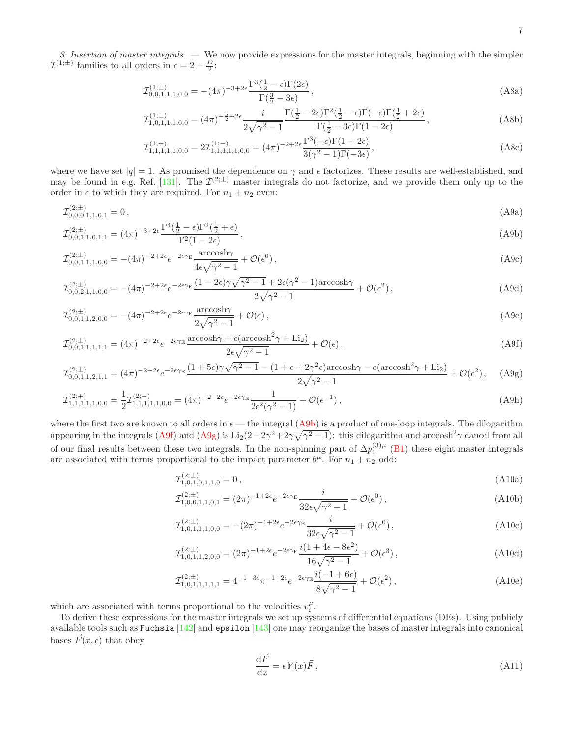3. Insertion of master integrals. — We now provide expressions for the master integrals, beginning with the simpler  $\mathcal{I}^{(1;\pm)}$  families to all orders in  $\epsilon = 2 - \frac{D}{2}$ :

<span id="page-6-4"></span>
$$
\mathcal{I}_{0,0,1,1,1,0,0}^{(1;\pm)} = -(4\pi)^{-3+2\epsilon} \frac{\Gamma^3(\frac{1}{2} - \epsilon)\Gamma(2\epsilon)}{\Gamma(\frac{3}{2} - 3\epsilon)},\tag{A8a}
$$

$$
\mathcal{I}_{1,0,1,1,1,0,0}^{(1;\pm)} = (4\pi)^{-\frac{5}{2}+2\epsilon} \frac{i}{2\sqrt{\gamma^2-1}} \frac{\Gamma(\frac{1}{2}-2\epsilon)\Gamma^2(\frac{1}{2}-\epsilon)\Gamma(-\epsilon)\Gamma(\frac{1}{2}+2\epsilon)}{\Gamma(\frac{1}{2}-3\epsilon)\Gamma(1-2\epsilon)},
$$
\n(A8b)

<span id="page-6-0"></span>
$$
\mathcal{I}_{1,1,1,1,1,0,0}^{(1;+)} = 2\mathcal{I}_{1,1,1,1,1,1,0,0}^{(1;-)} = (4\pi)^{-2+2\epsilon} \frac{\Gamma^3(-\epsilon)\Gamma(1+2\epsilon)}{3(\gamma^2-1)\Gamma(-3\epsilon)},
$$
\n(A8c)

where we have set  $|q| = 1$ . As promised the dependence on  $\gamma$  and  $\epsilon$  factorizes. These results are well-established, and may be found in e.g. Ref. [\[131\]](#page-14-5). The  $\mathcal{I}^{(2;\pm)}$  master integrals do not factorize, and we provide them only up to the order in  $\epsilon$  to which they are required. For  $n_1 + n_2$  even:

$$
\mathcal{I}_{0,0,0,1,1,0,1}^{(2;\pm)} = 0\,,\tag{A9a}
$$

$$
\mathcal{I}_{0,0,1,1,0,1,1}^{(2;\pm)} = (4\pi)^{-3+2\epsilon} \frac{\Gamma^4(\frac{1}{2}-\epsilon)\Gamma^2(\frac{1}{2}+\epsilon)}{\Gamma^2(1-2\epsilon)},
$$
\n(A9b)

$$
\mathcal{I}_{0,0,1,1,1,0,0}^{(2;\pm)} = -(4\pi)^{-2+2\epsilon} e^{-2\epsilon \gamma_{\rm E}} \frac{\arccosh\gamma}{4\epsilon\sqrt{\gamma^2 - 1}} + \mathcal{O}(\epsilon^0) \,, \tag{A9c}
$$

$$
\mathcal{I}_{0,0,2,1,1,0,0}^{(2;\pm)} = -(4\pi)^{-2+2\epsilon} e^{-2\epsilon\gamma_{\rm E}} \frac{(1-2\epsilon)\gamma\sqrt{\gamma^2-1} + 2\epsilon(\gamma^2-1)\arccosh\gamma}{2\sqrt{\gamma^2-1}} + \mathcal{O}(\epsilon^2) \,,\tag{A9d}
$$

$$
\mathcal{I}_{0,0,1,1,2,0,0}^{(2;\pm)} = -(4\pi)^{-2+2\epsilon} e^{-2\epsilon\gamma_{\rm E}} \frac{\arccosh\gamma}{2\sqrt{\gamma^2 - 1}} + \mathcal{O}(\epsilon) \,, \tag{A9e}
$$

$$
\mathcal{I}_{0,0,1,1,1,1,1}^{(2;\pm)} = (4\pi)^{-2+2\epsilon} e^{-2\epsilon\gamma_{\rm E}} \frac{\arccosh\gamma + \epsilon(\arccosh^2\gamma + \text{Li}_2)}{2\epsilon\sqrt{\gamma^2 - 1}} + \mathcal{O}(\epsilon) \,,\tag{A9f}
$$

$$
\mathcal{I}_{0,0,1,1,2,1,1}^{(2;\pm)} = (4\pi)^{-2+2\epsilon} e^{-2\epsilon\gamma_{\rm E}} \frac{(1+5\epsilon)\gamma\sqrt{\gamma^2-1} - (1+\epsilon+2\gamma^2\epsilon)\arccosh\gamma - \epsilon(\arccosh^2\gamma + \text{Li}_2)}{2\sqrt{\gamma^2-1}} + \mathcal{O}(\epsilon^2), \quad \text{(A9g)}
$$

$$
\mathcal{I}_{1,1,1,1,1,0,0}^{(2;+)} = \frac{1}{2} \mathcal{I}_{1,1,1,1,1,0,0}^{(2;-)} = (4\pi)^{-2+2\epsilon} e^{-2\epsilon\gamma_{\rm E}} \frac{1}{2\epsilon^2(\gamma^2 - 1)} + \mathcal{O}(\epsilon^{-1}),\tag{A9h}
$$

where the first two are known to all orders in  $\epsilon$  — the integral [\(A9b\)](#page-6-0) is a product of one-loop integrals. The dilogarithm appearing in the integrals [\(A9f\)](#page-6-1) and [\(A9g\)](#page-6-2) is  $Li_2(2-2\gamma^2+2\gamma\sqrt{\gamma^2-1})$ : this dilogarithm and arccosh<sup>2</sup> $\gamma$  cancel from all of our final results between these two integrals. In the non-spinning part of  $\Delta p_1^{(3)\mu}$  [\(B1\)](#page-7-1) these eight master integrals are associated with terms proportional to the impact parameter  $b^{\mu}$ . For  $n_1 + n_2$  odd:

<span id="page-6-2"></span><span id="page-6-1"></span>
$$
\mathcal{I}_{1,0,1,0,1,1,0}^{(2;\pm)} = 0\,,\tag{A10a}
$$

$$
\mathcal{I}_{1,0,0,1,1,0,1}^{(2;\pm)} = (2\pi)^{-1+2\epsilon} e^{-2\epsilon \gamma_{\rm E}} \frac{i}{32\epsilon\sqrt{\gamma^2 - 1}} + \mathcal{O}(\epsilon^0) \,, \tag{A10b}
$$

$$
\mathcal{I}_{1,0,1,1,1,0,0}^{(2;\pm)} = -(2\pi)^{-1+2\epsilon} e^{-2\epsilon\gamma_{\rm E}} \frac{i}{32\epsilon\sqrt{\gamma^2 - 1}} + \mathcal{O}(\epsilon^0) \,, \tag{A10c}
$$

$$
\mathcal{I}_{1,0,1,1,2,0,0}^{(2;\pm)} = (2\pi)^{-1+2\epsilon} e^{-2\epsilon \gamma_{\rm E}} \frac{i(1+4\epsilon - 8\epsilon^2)}{16\sqrt{\gamma^2 - 1}} + \mathcal{O}(\epsilon^3) \,, \tag{A10d}
$$

$$
\mathcal{I}_{1,0,1,1,1,1,1}^{(2;\pm)} = 4^{-1-3\epsilon} \pi^{-1+2\epsilon} e^{-2\epsilon \gamma_{\rm E}} \frac{i(-1+6\epsilon)}{8\sqrt{\gamma^2 - 1}} + \mathcal{O}(\epsilon^2) \,, \tag{A10e}
$$

which are associated with terms proportional to the velocities  $v_i^{\mu}$ .

To derive these expressions for the master integrals we set up systems of differential equations (DEs). Using publicly available tools such as Fuchsia [\[142\]](#page-14-16) and epsilon [\[143](#page-14-17)] one may reorganize the bases of master integrals into canonical bases  $\vec{F}(x, \epsilon)$  that obey

<span id="page-6-3"></span>
$$
\frac{\mathrm{d}\vec{F}}{\mathrm{d}x} = \epsilon \mathbb{M}(x)\vec{F},\tag{A11}
$$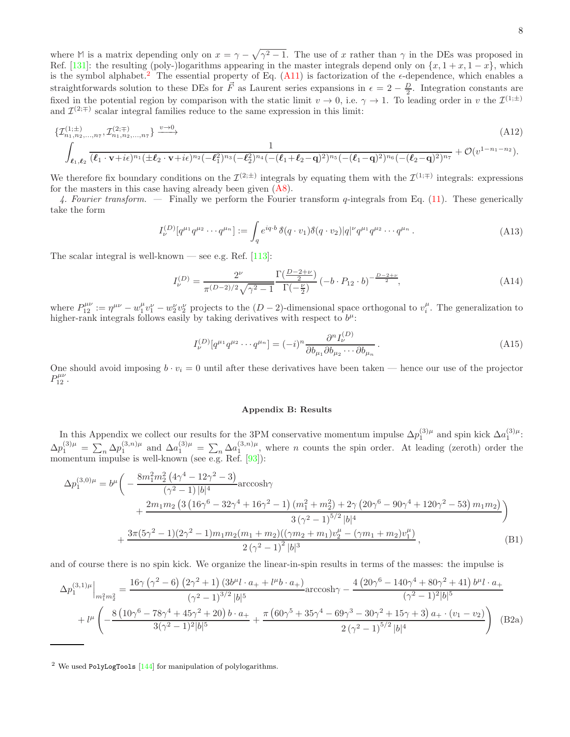where **M** is a matrix depending only on  $x = \gamma - \sqrt{\gamma^2 - 1}$ . The use of x rather than  $\gamma$  in the DEs was proposed in Ref. [\[131\]](#page-14-5): the resulting (poly-)logarithms appearing in the master integrals depend only on  $\{x, 1 + x, 1 - x\}$ , which is the symbol alphabet.<sup>[2](#page-7-2)</sup> The essential property of Eq. [\(A11\)](#page-6-3) is factorization of the  $\epsilon$ -dependence, which enables a straightforwards solution to these DEs for  $\vec{F}$  as Laurent series expansions in  $\epsilon = 2 - \frac{D}{2}$ . Integration constants are fixed in the potential region by comparison with the static limit  $v \to 0$ , i.e.  $\gamma \to 1$ . To leading order in v the  $\mathcal{I}^{(1;\pm)}$ and  $\mathcal{I}^{(2;\mp)}$  scalar integral families reduce to the same expression in this limit:

$$
\{ \mathcal{I}_{n_1, n_2, \ldots, n_7}^{(1;\pm)}, \mathcal{I}_{n_1, n_2, \ldots, n_7}^{(2;\mp)} \} \xrightarrow{v \to 0} \tag{A12}
$$
\n
$$
\int_{\ell_1, \ell_2} \frac{1}{(\ell_1 \cdot \mathbf{v} + i\epsilon)^{n_1} (\pm \ell_2 \cdot \mathbf{v} + i\epsilon)^{n_2} (-\ell_1^2)^{n_3} (-\ell_2^2)^{n_4} (-(\ell_1 + \ell_2 - \mathbf{q})^2)^{n_5} (-(\ell_1 - \mathbf{q})^2)^{n_6} (-(\ell_2 - \mathbf{q})^2)^{n_7}} + \mathcal{O}(v^{1 - n_1 - n_2}).
$$

We therefore fix boundary conditions on the  $\mathcal{I}^{(2;\pm)}$  integrals by equating them with the  $\mathcal{I}^{(1;\mp)}$  integrals: expressions for the masters in this case having already been given [\(A8\)](#page-6-4).

4. Fourier transform. — Finally we perform the Fourier transform q-integrals from Eq. [\(11\)](#page-2-3). These generically take the form

$$
I_{\nu}^{(D)}[q^{\mu_1}q^{\mu_2}\cdots q^{\mu_n}] := \int_{q} e^{iq \cdot b} \,\delta(q \cdot v_1) \delta(q \cdot v_2) |q|^{\nu} q^{\mu_1} q^{\mu_2} \cdots q^{\mu_n} \,. \tag{A13}
$$

The scalar integral is well-known — see e.g. Ref.  $[113]$ :

$$
I_{\nu}^{(D)} = \frac{2^{\nu}}{\pi^{(D-2)/2}\sqrt{\gamma^2 - 1}} \frac{\Gamma(\frac{D-2+\nu}{2})}{\Gamma(-\frac{\nu}{2})} \left(-b \cdot P_{12} \cdot b\right)^{-\frac{D-2+\nu}{2}},\tag{A14}
$$

where  $P_{12}^{\mu\nu} := \eta^{\mu\nu} - w_1^{\mu}v_1^{\nu} - w_2^{\nu}v_2^{\nu}$  projects to the  $(D-2)$ -dimensional space orthogonal to  $v_i^{\mu}$ . The generalization to higher-rank integrals follows easily by taking derivatives with respect to  $b^{\mu}$ :

$$
I_{\nu}^{(D)}[q^{\mu_1}q^{\mu_2}\cdots q^{\mu_n}] = (-i)^n \frac{\partial^n I_{\nu}^{(D)}}{\partial b_{\mu_1}\partial b_{\mu_2}\cdots \partial b_{\mu_n}}.
$$
\n(A15)

One should avoid imposing  $b \cdot v_i = 0$  until after these derivatives have been taken — hence our use of the projector  $P_{12}^{\mu\nu}$ .

## <span id="page-7-1"></span><span id="page-7-0"></span>Appendix B: Results

In this Appendix we collect our results for the 3PM conservative momentum impulse  $\Delta p_1^{(3)\mu}$  and spin kick  $\Delta a_1^{(3)\mu}$ :  $\Delta p_1^{(3)\mu} = \sum_n \Delta p_1^{(3,n)\mu}$  and  $\Delta a_1^{(3)\mu} = \sum_n \Delta a_1^{(3,n)\mu}$ , where n counts the spin order. At leading (zeroth) order the momentum impulse is well-known (see e.g. Ref. [\[93\]](#page-13-1)):

$$
\Delta p_1^{(3,0)\mu} = b^{\mu} \left( -\frac{8m_1^2 m_2^2 (4\gamma^4 - 12\gamma^2 - 3)}{(\gamma^2 - 1)|b|^4} \arccos h\gamma + \frac{2m_1 m_2 (3 (16\gamma^6 - 32\gamma^4 + 16\gamma^2 - 1) (m_1^2 + m_2^2) + 2\gamma (20\gamma^6 - 90\gamma^4 + 120\gamma^2 - 53) m_1 m_2)}{3 (\gamma^2 - 1)^{5/2} |b|^4} + \frac{3\pi (5\gamma^2 - 1)(2\gamma^2 - 1) m_1 m_2 (m_1 + m_2) ((\gamma m_2 + m_1) v_2^{\mu} - (\gamma m_1 + m_2) v_1^{\mu})}{2 (\gamma^2 - 1)^2 |b|^3},
$$
\n(B1)

and of course there is no spin kick. We organize the linear-in-spin results in terms of the masses: the impulse is

$$
\Delta p_{1}^{(3,1)\mu}\Big|_{m_{1}^{2}m_{2}^{2}} = \frac{16\gamma \left(\gamma^{2} - 6\right) \left(2\gamma^{2} + 1\right) \left(3b^{\mu}l \cdot a_{+} + l^{\mu}b \cdot a_{+}\right)}{\left(\gamma^{2} - 1\right)^{3/2}|b|^{5}} \arccos h\gamma - \frac{4\left(20\gamma^{6} - 140\gamma^{4} + 80\gamma^{2} + 41\right)b^{\mu}l \cdot a_{+}}{\left(\gamma^{2} - 1\right)^{2}|b|^{5}} + l^{\mu}\left(-\frac{8\left(10\gamma^{6} - 78\gamma^{4} + 45\gamma^{2} + 20\right)b \cdot a_{+}}{3\left(\gamma^{2} - 1\right)^{2}|b|^{5}} + \frac{\pi \left(60\gamma^{5} + 35\gamma^{4} - 69\gamma^{3} - 30\gamma^{2} + 15\gamma + 3\right)a_{+} \cdot \left(v_{1} - v_{2}\right)}{2\left(\gamma^{2} - 1\right)^{5/2}|b|^{4}}\right) (B2a)
$$

<span id="page-7-2"></span><sup>2</sup> We used PolyLogTools [\[144\]](#page-14-18) for manipulation of polylogarithms.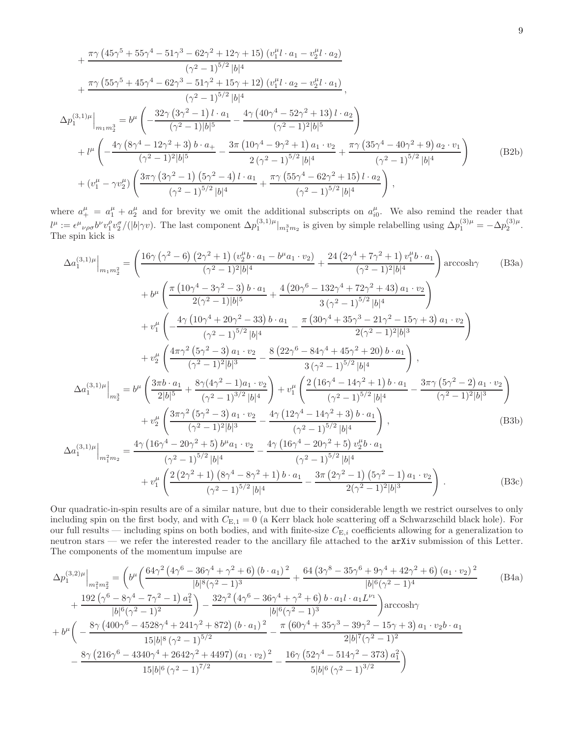$$
+\frac{\pi\gamma (45\gamma^{5} + 55\gamma^{4} - 51\gamma^{3} - 62\gamma^{2} + 12\gamma + 15) (v_{1}^{\mu}l \cdot a_{1} - v_{2}^{\mu}l \cdot a_{2})}{(\gamma^{2} - 1)^{5/2} |b|^{4}}
$$
\n
$$
+\frac{\pi\gamma (55\gamma^{5} + 45\gamma^{4} - 62\gamma^{3} - 51\gamma^{2} + 15\gamma + 12) (v_{1}^{\mu}l \cdot a_{2} - v_{2}^{\mu}l \cdot a_{1})}{(\gamma^{2} - 1)^{5/2} |b|^{4}},
$$
\n
$$
\Delta p_{1}^{(3,1)\mu}\Big|_{m_{1}m_{2}^{3}} = b^{\mu} \left(-\frac{32\gamma (3\gamma^{2} - 1)l \cdot a_{1}}{(\gamma^{2} - 1)|b|^{5}} - \frac{4\gamma (40\gamma^{4} - 52\gamma^{2} + 13)l \cdot a_{2}}{(\gamma^{2} - 1)^{2}|b|^{5}}\right)
$$
\n
$$
+ l^{\mu} \left(-\frac{4\gamma (8\gamma^{4} - 12\gamma^{2} + 3) b \cdot a_{+}}{(\gamma^{2} - 1)^{2}|b|^{5}} - \frac{3\pi (10\gamma^{4} - 9\gamma^{2} + 1) a_{1} \cdot v_{2}}{2(\gamma^{2} - 1)^{5/2}|b|^{4}} + \frac{\pi\gamma (35\gamma^{4} - 40\gamma^{2} + 9) a_{2} \cdot v_{1}}{(\gamma^{2} - 1)^{5/2}|b|^{4}}\right)
$$
\n
$$
+ (v_{1}^{\mu} - \gamma v_{2}^{\mu}) \left(\frac{3\pi\gamma (3\gamma^{2} - 1) (5\gamma^{2} - 4)l \cdot a_{1}}{(\gamma^{2} - 1)^{5/2}|b|^{4}} + \frac{\pi\gamma (55\gamma^{4} - 62\gamma^{2} + 15)l \cdot a_{2}}{(\gamma^{2} - 1)^{5/2}|b|^{4}}\right),
$$
\n(B2b)

where  $a^{\mu}_{+} = a^{\mu}_{1} + a^{\mu}_{2}$  and for brevity we omit the additional subscripts on  $a^{\mu}_{i0}$ . We also remind the reader that  $l^{\mu} := \epsilon^{\mu}{}_{\nu\rho\sigma}b^{\nu}v_1^{\rho}v_2^{\sigma}/(|b|\gamma v)$ . The last component  $\Delta p_1^{(3,1)\mu}|_{m_1^3m_2}$  is given by simple relabelling using  $\Delta p_1^{(3)\mu} = -\Delta p_2^{(3)\mu}$ . The spin kick is

$$
\Delta a_{1}^{(3,1)\mu}\Big|_{m_{1}m_{2}^{2}} = \left(\frac{16\gamma\left(\gamma^{2}-6\right)\left(2\gamma^{2}+1\right)\left(v_{2}^{\mu}b\cdot a_{1}-b^{\mu}a_{1}\cdot v_{2}\right)}{(\gamma^{2}-1)^{2}|b|^{4}} + \frac{24\left(2\gamma^{4}+7\gamma^{2}+1\right)v_{1}^{\mu}b\cdot a_{1}}{(\gamma^{2}-1)^{2}|b|^{4}}\right)\arccosh\gamma \qquad (B3a)
$$
\n
$$
+ b^{\mu}\left(\frac{\pi\left(10\gamma^{4}-3\gamma^{2}-3\right)b\cdot a_{1}}{2(\gamma^{2}-1)|b|^{5}} + \frac{4\left(20\gamma^{6}-132\gamma^{4}+72\gamma^{2}+43\right)a_{1}\cdot v_{2}}{3\left(\gamma^{2}-1\right)^{5/2}|b|^{4}}\right)\right. \\ \left. + v_{1}^{\mu}\left(-\frac{4\gamma\left(10\gamma^{4}+20\gamma^{2}-33\right)b\cdot a_{1}}{(\gamma^{2}-1)^{5/2}|b|^{4}} - \frac{\pi\left(30\gamma^{4}+35\gamma^{3}-21\gamma^{2}-15\gamma+3\right)a_{1}\cdot v_{2}}{2(\gamma^{2}-1)^{2}|b|^{3}}\right)\right. \\ \left. + v_{2}^{\mu}\left(\frac{4\pi\gamma^{2}\left(5\gamma^{2}-3\right)a_{1}\cdot v_{2}}{(\gamma^{2}-1)^{2}|b|^{3}} - \frac{8\left(22\gamma^{6}-84\gamma^{4}+45\gamma^{2}+20\right)b\cdot a_{1}}{3\left(\gamma^{2}-1\right)^{5/2}|b|^{4}}\right),
$$
\n
$$
\Delta a_{1}^{(3,1)\mu}\Big|_{m_{2}^{3}} = b^{\mu}\left(\frac{3\pi b\cdot a_{1}}{2|b|^{5}} + \frac{8\gamma(4\gamma^{2}-1)a_{1}\cdot v_{2}}{(\gamma^{2}-1)^{3/2}|b|^{4}}\right) + v_{1}^{\mu}\left(\frac{2\left(16\gamma^{4}-14\gamma^{2}+1\right)b\cdot a_{1}}{(\gamma^{2}-1)^{5/2}|b|^{4}} - \frac{3\pi\gamma\left(
$$

Our quadratic-in-spin results are of a similar nature, but due to their considerable length we restrict ourselves to only including spin on the first body, and with  $C_{\text{E},1} = 0$  (a Kerr black hole scattering off a Schwarzschild black hole). For our full results — including spins on both bodies, and with finite-size  $C_{E,i}$  coefficients allowing for a generalization to neutron stars — we refer the interested reader to the ancillary file attached to the arXiv submission of this Letter. The components of the momentum impulse are

$$
\Delta p_{1}^{(3,2)\mu}\Big|_{m_{1}^{2}m_{2}^{2}} = \left(b^{\mu}\left(\frac{64\gamma^{2}\left(4\gamma^{6}-36\gamma^{4}+\gamma^{2}+6\right)\left(b-a_{1}\right)^{2}}{|b|^{8}\left(\gamma^{2}-1\right)^{3}}+\frac{64\left(3\gamma^{8}-35\gamma^{6}+9\gamma^{4}+42\gamma^{2}+6\right)\left(a_{1}\cdot v_{2}\right)^{2}}{|b|^{6}\left(\gamma^{2}-1\right)^{4}}\right)\right)
$$
\n
$$
+\frac{192\left(\gamma^{6}-8\gamma^{4}-7\gamma^{2}-1\right)a_{1}^{2}}{|b|^{6}\left(\gamma^{2}-1\right)^{2}}-\frac{32\gamma^{2}\left(4\gamma^{6}-36\gamma^{4}+\gamma^{2}+6\right)b\cdot a_{1}l\cdot a_{1}L^{v_{1}}}{|b|^{6}\left(\gamma^{2}-1\right)^{3}}\right)\arccosh\gamma
$$
\n
$$
+b^{\mu}\left(-\frac{8\gamma\left(400\gamma^{6}-4528\gamma^{4}+241\gamma^{2}+872\right)\left(b\cdot a_{1}\right)^{2}}{15|b|^{8}\left(\gamma^{2}-1\right)^{5/2}}-\frac{\pi\left(60\gamma^{4}+35\gamma^{3}-39\gamma^{2}-15\gamma+3\right)a_{1}\cdot v_{2}b\cdot a_{1}}{2|b|^{7}\left(\gamma^{2}-1\right)^{2}}
$$
\n
$$
-\frac{8\gamma\left(216\gamma^{6}-4340\gamma^{4}+2642\gamma^{2}+4497\right)\left(a_{1}\cdot v_{2}\right)^{2}}{15|b|^{6}\left(\gamma^{2}-1\right)^{7/2}}-\frac{16\gamma\left(52\gamma^{4}-514\gamma^{2}-373\right)a_{1}^{2}}{5|b|^{6}\left(\gamma^{2}-1\right)^{3/2}}\right)
$$
\n(B4a)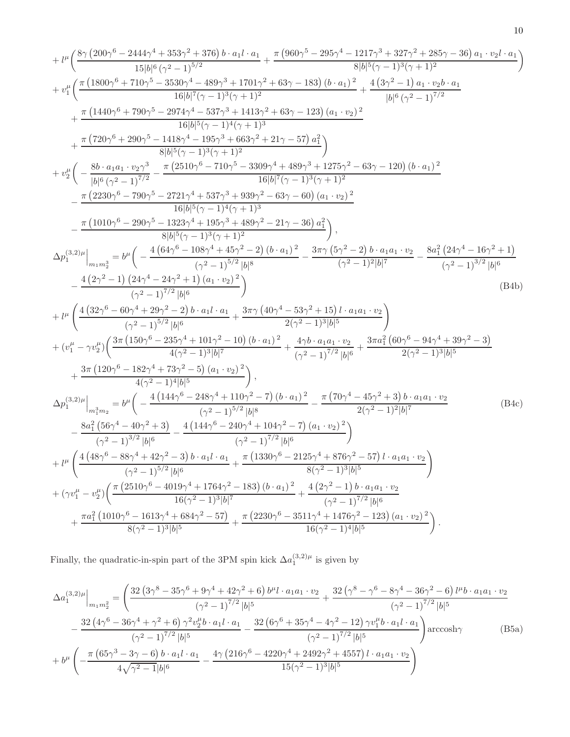$$
+ \mu^6 \left(\frac{8 \gamma \left(200 \gamma ^6-2444 \gamma ^4+353 \gamma ^2+376\right) b \cdot a_1 l \cdot a_1}{15 \left|b\right|^6 \left(\gamma ^2-1\right)^{5/2}}+\nu^6 \left(\frac{\pi \left(1800 \gamma ^6+20 \gamma ^6+210 \gamma ^2+88 \gamma ^2+13701 \gamma ^2+88 \gamma ^2+1217 \gamma ^3+327 \gamma ^2+285 \gamma -36\right) a_1 \cdot v_2 l \cdot a_1}{8 \left|b\right|^5 \left(\gamma -1\right)^3 \left(\gamma +1\right)^2}+\nu^6 \left(\frac{\pi \left(1800 \gamma ^6+710 \gamma ^5-350 \gamma ^4-489 \gamma ^3+1701 \gamma ^2+63 \gamma -183\right) (b \cdot a_1)^2}{16 \left|b\right|^6 \left(\gamma -1\right)^3 \left(\gamma +1\right)^3}+\nu^6 \left(\frac{1400 \gamma ^6+790 \gamma ^5-2974 \gamma ^4-537 \gamma ^3+1413 \gamma ^2+63 \gamma -123\right) (a_1 \cdot v_2)^2}{16 \left|b\right|^6 \left(\gamma -1\right)^4 \left(\gamma +1\right)^3}+\nu^6 \left(-\frac{8 b \cdot a_1 a_1 \cdot v_2 \gamma ^3}{\left|b\right|^6 \left(\gamma ^2-1\right)^{7/2}}-\frac{\pi \left(2510 \gamma ^6-710 \gamma ^5-330 \gamma ^3+489 \gamma ^3+1275 \gamma ^2-63 \gamma -120\right) (b \cdot a_1)^2}{8 \left|b\right|^6 \left(\gamma -1\right)^3 \left(\gamma +1\right)^2}-\nu^6 \left(-\frac{8 b \cdot a_1 a_1 \cdot v_2 \gamma ^3}{\left|b\right|^6 \left(\gamma ^2-1\right)^{7/2}}-\frac{\pi \left(2230 \gamma ^6-710 \gamma ^5-3309 \gamma ^4+489 \gamma ^3+1275 \gamma ^2-63 \gamma -120\right) (b \cdot a_1)^2}{16 \left|b\right|^7 \left(\gamma -1\right)^3 \left(\gamma +1\right)^2}-\nu^6 \left(-\frac{8 c \cdot a_
$$

Finally, the quadratic-in-spin part of the 3PM spin kick  $\Delta a_1^{(3,2)\mu}$  is given by

$$
\Delta a_{1}^{(3,2)\mu}\Big|_{m_{1}m_{2}^{2}} = \left(\frac{32\left(3\gamma^{8} - 35\gamma^{6} + 9\gamma^{4} + 42\gamma^{2} + 6\right)b^{\mu}l \cdot a_{1}a_{1} \cdot v_{2}}{(\gamma^{2} - 1)^{7/2}|b|^{5}} + \frac{32\left(\gamma^{8} - \gamma^{6} - 8\gamma^{4} - 36\gamma^{2} - 6\right)l^{\mu}b \cdot a_{1}a_{1} \cdot v_{2}}{(\gamma^{2} - 1)^{7/2}|b|^{5}}\right) - \frac{32\left(4\gamma^{6} - 36\gamma^{4} + \gamma^{2} + 6\right)\gamma^{2}v_{2}^{\mu}b \cdot a_{1}l \cdot a_{1}}{(\gamma^{2} - 1)^{7/2}|b|^{5}} - \frac{32\left(4\gamma^{6} - 36\gamma^{4} + \gamma^{2} + 6\right)\gamma^{2}v_{2}^{\mu}b \cdot a_{1}l \cdot a_{1}}{(\gamma^{2} - 1)^{7/2}|b|^{5}}\right) \arccosh\gamma \qquad (B5a)
$$
\n
$$
+ b^{\mu}\left(-\frac{\pi\left(65\gamma^{3} - 3\gamma - 6\right)b \cdot a_{1}l \cdot a_{1}}{4\sqrt{\gamma^{2} - 1}|b|^{6}} - \frac{4\gamma\left(216\gamma^{6} - 4220\gamma^{4} + 2492\gamma^{2} + 4557\right)l \cdot a_{1}a_{1} \cdot v_{2}}{15(\gamma^{2} - 1)^{3}|b|^{5}}\right)
$$
\n(B5a)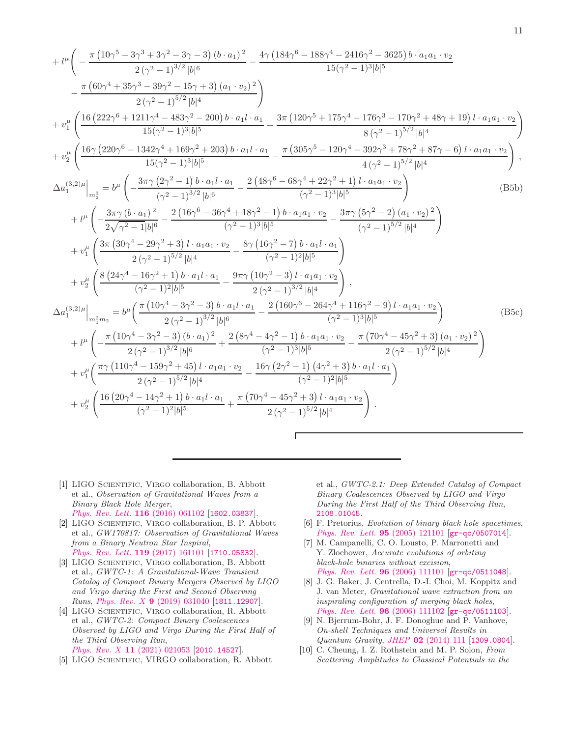$$
+l^{\mu}\left(-\frac{\pi (10\gamma^{5}-3\gamma^{3}+3\gamma^{2}-3\gamma-3)\left(b\cdot a_{1}\right)^{2}}{2\left(\gamma^{2}-1\right)^{3/2}|b|^{6}}-\frac{4\gamma \left(184\gamma^{6}-188\gamma^{4}-2416\gamma^{2}-3625\right)b\cdot a_{1}a_{1}\cdot v_{2}}{15\left(\gamma^{2}-1\right)^{3/2}|b|^{5}}\right.\newline-\frac{\pi (60\gamma^{4}+35\gamma^{3}-39\gamma^{2}-15\gamma+3)\left(a_{1}\cdot v_{2}\right)^{2}}{2\left(\gamma^{2}-1\right)^{5/2}|b|^{4}}+\nu_{1}^{\mu}\left(\frac{16 \left(222\gamma^{6}+1211\gamma^{4}-483\gamma^{2}-200\right)b\cdot a_{1}l\cdot a_{1}}{15\left(\gamma^{2}-1\right)^{3}|b|^{5}}+\nu_{2}^{\mu}\left(\frac{16\gamma (220\gamma^{6}-1342\gamma^{4}+169\gamma^{2}+203)\,b\cdot a_{1}l\cdot a_{1}}{15\left(\gamma^{2}-1\right)^{3}|b|^{5}}-\frac{\pi (305\gamma^{5}-120\gamma^{4}-392\gamma^{3}+78\gamma^{2}+87\gamma-6)\,l\cdot a_{1}a_{1}\cdot v_{2}}{8\left(\gamma^{2}-1\right)^{5/2}|b|^{4}}\right),\\Aa_{1}^{(3,2)\mu}\Biggl|_{m_{2}^{3}}=\nu^{\mu}\left(-\frac{3\pi\gamma (2\gamma^{2}-1)\,b\cdot a_{1}l\cdot a_{1}}{(\gamma^{2}-1)^{3}|b|^{5}}-\frac{2 \left(48\gamma^{6}-68\gamma^{4}+22\gamma^{2}+1\right)l\cdot a_{1}a_{1}\cdot v_{2}}{4\left(\gamma^{2}-1\right)^{5/2}|b|^{4}}\right)\right.\newline+\nu^{\mu}\left(-\frac{3\pi\gamma (b\cdot a_{1})^{2}}{2\sqrt{\gamma^{2}-1}|b|^{6}}-\frac{2 \left(16\gamma^{6}-36\gamma^{4}+18\gamma^{2}-1\right)b\cdot a_{1}a_{1}\cdot v_{2}}{(\gamma^{2}-1)^{3}|b|^{5}}-\frac
$$

Г

- <span id="page-10-0"></span>[1] LIGO Scientific, Virgo collaboration, B. Abbott et al., Observation of Gravitational Waves from a Binary Black Hole Merger, [Phys. Rev. Lett.](https://doi.org/10.1103/PhysRevLett.116.061102) 116 (2016) 061102 [[1602.03837](https://arxiv.org/abs/1602.03837)].
- [2] LIGO Scientific, Virgo collaboration, B. P. Abbott et al., GW170817: Observation of Gravitational Waves from a Binary Neutron Star Inspiral, [Phys. Rev. Lett.](https://doi.org/10.1103/PhysRevLett.119.161101) 119 (2017) 161101 [[1710.05832](https://arxiv.org/abs/1710.05832)].
- [3] LIGO Scientific, Virgo collaboration, B. Abbott et al., GWTC-1: A Gravitational-Wave Transient Catalog of Compact Binary Mergers Observed by LIGO and Virgo during the First and Second Observing Runs, Phys. Rev. X 9 [\(2019\) 031040](https://doi.org/10.1103/PhysRevX.9.031040) [[1811.12907](https://arxiv.org/abs/1811.12907)].
- [4] LIGO SCIENTIFIC, VIRGO collaboration, R. Abbott et al., GWTC-2: Compact Binary Coalescences Observed by LIGO and Virgo During the First Half of the Third Observing Run, Phys. Rev. X 11 [\(2021\) 021053](https://doi.org/10.1103/PhysRevX.11.021053) [[2010.14527](https://arxiv.org/abs/2010.14527)].
- <span id="page-10-1"></span>[5] LIGO Scientific, VIRGO collaboration, R. Abbott

et al., GWTC-2.1: Deep Extended Catalog of Compact Binary Coalescences Observed by LIGO and Virgo During the First Half of the Third Observing Run, [2108.01045](https://arxiv.org/abs/2108.01045).

- <span id="page-10-2"></span>[6] F. Pretorius, Evolution of binary black hole spacetimes, [Phys. Rev. Lett.](https://doi.org/10.1103/PhysRevLett.95.121101) 95 (2005) 121101 [[gr-qc/0507014](https://arxiv.org/abs/gr-qc/0507014)].
- [7] M. Campanelli, C. O. Lousto, P. Marronetti and Y. Zlochower, Accurate evolutions of orbiting black-hole binaries without excision, [Phys. Rev. Lett.](https://doi.org/10.1103/PhysRevLett.96.111101) 96 (2006) 111101 [[gr-qc/0511048](https://arxiv.org/abs/gr-qc/0511048)].
- <span id="page-10-3"></span>[8] J. G. Baker, J. Centrella, D.-I. Choi, M. Koppitz and J. van Meter, Gravitational wave extraction from an inspiraling configuration of merging black holes, [Phys. Rev. Lett.](https://doi.org/10.1103/PhysRevLett.96.111102) **96** (2006) 111102  $|gr-qc/0511103|$  $|gr-qc/0511103|$  $|gr-qc/0511103|$ .
- <span id="page-10-4"></span>[9] N. Bjerrum-Bohr, J. F. Donoghue and P. Vanhove, On-shell Techniques and Universal Results in Quantum Gravity, JHEP 02 [\(2014\) 111](https://doi.org/10.1007/JHEP02(2014)111) [[1309.0804](https://arxiv.org/abs/1309.0804)].
- [10] C. Cheung, I. Z. Rothstein and M. P. Solon, From Scattering Amplitudes to Classical Potentials in the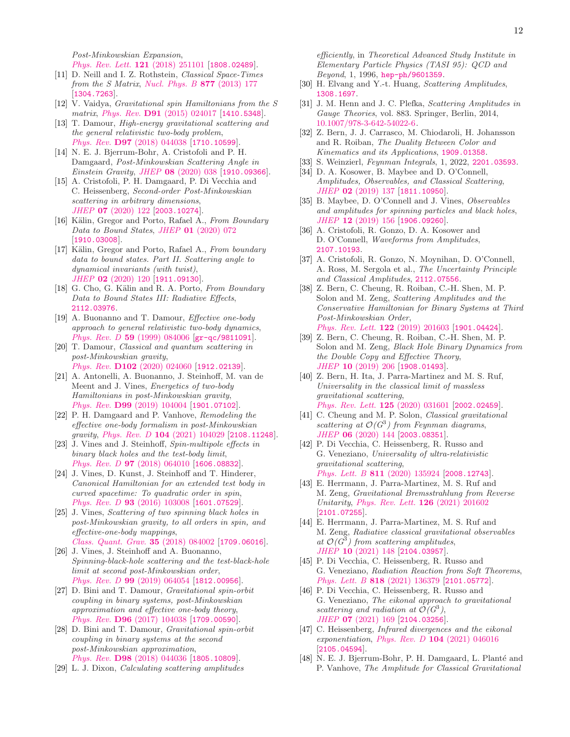Post-Minkowskian Expansion, [Phys. Rev. Lett.](https://doi.org/10.1103/PhysRevLett.121.251101) **121** (2018) 251101 [[1808.02489](https://arxiv.org/abs/1808.02489)].

- [11] D. Neill and I. Z. Rothstein, Classical Space-Times from the S Matrix, [Nucl. Phys. B](https://doi.org/10.1016/j.nuclphysb.2013.09.007)  $877$  (2013) 177 [[1304.7263](https://arxiv.org/abs/1304.7263)].
- [12] V. Vaidya, Gravitational spin Hamiltonians from the S matrix, Phys. Rev. **D91** [\(2015\) 024017](https://doi.org/10.1103/PhysRevD.91.024017) [[1410.5348](https://arxiv.org/abs/1410.5348)].
- [13] T. Damour, High-energy gravitational scattering and the general relativistic two-body problem, Phys. Rev. D97 [\(2018\) 044038](https://doi.org/10.1103/PhysRevD.97.044038) [[1710.10599](https://arxiv.org/abs/1710.10599)].
- [14] N. E. J. Bjerrum-Bohr, A. Cristofoli and P. H. Damgaard, Post-Minkowskian Scattering Angle in Einstein Gravity, JHEP 08 [\(2020\) 038](https://doi.org/10.1007/JHEP08(2020)038) [[1910.09366](https://arxiv.org/abs/1910.09366)].
- <span id="page-11-0"></span>[15] A. Cristofoli, P. H. Damgaard, P. Di Vecchia and C. Heissenberg, Second-order Post-Minkowskian scattering in arbitrary dimensions, JHEP 07 [\(2020\) 122](https://doi.org/10.1007/JHEP07(2020)122) [[2003.10274](https://arxiv.org/abs/2003.10274)].
- <span id="page-11-1"></span>[16] Kälin, Gregor and Porto, Rafael A., From Boundary Data to Bound States, JHEP 01 [\(2020\) 072](https://doi.org/10.1007/JHEP01(2020)072) [[1910.03008](https://arxiv.org/abs/1910.03008)].
- [17] Kälin, Gregor and Porto, Rafael A., From boundary data to bound states. Part II. Scattering angle to dynamical invariants (with twist), JHEP 02 [\(2020\) 120](https://doi.org/10.1007/JHEP02(2020)120) [[1911.09130](https://arxiv.org/abs/1911.09130)].
- <span id="page-11-2"></span>[18] G. Cho, G. Kälin and R. A. Porto, From Boundary Data to Bound States III: Radiative Effects, [2112.03976](https://arxiv.org/abs/2112.03976).
- <span id="page-11-3"></span>[19] A. Buonanno and T. Damour, Effective one-body approach to general relativistic two-body dynamics, Phys. Rev. D 59 [\(1999\) 084006](https://doi.org/10.1103/PhysRevD.59.084006) [[gr-qc/9811091](https://arxiv.org/abs/gr-qc/9811091)].
- <span id="page-11-14"></span>[20] T. Damour, Classical and quantum scattering in post-Minkowskian gravity, Phys. Rev. **D102** [\(2020\) 024060](https://doi.org/10.1103/PhysRevD.102.024060) [[1912.02139](https://arxiv.org/abs/1912.02139)].
- [21] A. Antonelli, A. Buonanno, J. Steinhoff, M. van de Meent and J. Vines, Energetics of two-body Hamiltonians in post-Minkowskian gravity, Phys. Rev. D99 [\(2019\) 104004](https://doi.org/10.1103/PhysRevD.99.104004) [[1901.07102](https://arxiv.org/abs/1901.07102)].
- <span id="page-11-4"></span>[22] P. H. Damgaard and P. Vanhove, Remodeling the effective one-body formalism in post-Minkowskian gravity, Phys. Rev. D 104 [\(2021\) 104029](https://doi.org/10.1103/PhysRevD.104.104029) [[2108.11248](https://arxiv.org/abs/2108.11248)].
- <span id="page-11-5"></span>[23] J. Vines and J. Steinhoff, Spin-multipole effects in binary black holes and the test-body limit, Phys. Rev. D 97 [\(2018\) 064010](https://doi.org/10.1103/PhysRevD.97.064010) [[1606.08832](https://arxiv.org/abs/1606.08832)].
- [24] J. Vines, D. Kunst, J. Steinhoff and T. Hinderer, Canonical Hamiltonian for an extended test body in curved spacetime: To quadratic order in spin, Phys. Rev. D 93 [\(2016\) 103008](https://doi.org/10.1103/PhysRevD.93.103008) [[1601.07529](https://arxiv.org/abs/1601.07529)].
- [25] J. Vines, Scattering of two spinning black holes in post-Minkowskian gravity, to all orders in spin, and effective-one-body mappings, [Class. Quant. Grav.](https://doi.org/10.1088/1361-6382/aaa3a8) 35 (2018) 084002 [[1709.06016](https://arxiv.org/abs/1709.06016)].
- <span id="page-11-16"></span>[26] J. Vines, J. Steinhoff and A. Buonanno, Spinning-black-hole scattering and the test-black-hole limit at second post-Minkowskian order, Phys. Rev. D 99 [\(2019\) 064054](https://doi.org/10.1103/PhysRevD.99.064054) [[1812.00956](https://arxiv.org/abs/1812.00956)].
- [27] D. Bini and T. Damour, Gravitational spin-orbit coupling in binary systems, post-Minkowskian approximation and effective one-body theory, Phys. Rev. D96 [\(2017\) 104038](https://doi.org/10.1103/PhysRevD.96.104038) [[1709.00590](https://arxiv.org/abs/1709.00590)].
- <span id="page-11-6"></span>[28] D. Bini and T. Damour, Gravitational spin-orbit coupling in binary systems at the second post-Minkowskian approximation, Phys. Rev. D98 [\(2018\) 044036](https://doi.org/10.1103/PhysRevD.98.044036) [[1805.10809](https://arxiv.org/abs/1805.10809)].
- <span id="page-11-7"></span>[29] L. J. Dixon, Calculating scattering amplitudes

efficiently, in Theoretical Advanced Study Institute in Elementary Particle Physics (TASI 95): QCD and Beyond, 1, 1996, [hep-ph/9601359](https://arxiv.org/abs/hep-ph/9601359).

- [30] H. Elvang and Y.-t. Huang, Scattering Amplitudes, [1308.1697](https://arxiv.org/abs/1308.1697).
- [31] J. M. Henn and J. C. Plefka, Scattering Amplitudes in Gauge Theories, vol. 883. Springer, Berlin, 2014, [10.1007/978-3-642-54022-6.](https://doi.org/10.1007/978-3-642-54022-6)
- [32] Z. Bern, J. J. Carrasco, M. Chiodaroli, H. Johansson and R. Roiban, The Duality Between Color and Kinematics and its Applications, [1909.01358](https://arxiv.org/abs/1909.01358).
- <span id="page-11-8"></span>[33] S. Weinzierl, Feynman Integrals, 1, 2022, [2201.03593](https://arxiv.org/abs/2201.03593).
- <span id="page-11-9"></span>[34] D. A. Kosower, B. Maybee and D. O'Connell, Amplitudes, Observables, and Classical Scattering, JHEP 02 [\(2019\) 137](https://doi.org/10.1007/JHEP02(2019)137) [[1811.10950](https://arxiv.org/abs/1811.10950)].
- <span id="page-11-15"></span>[35] B. Maybee, D. O'Connell and J. Vines, Observables and amplitudes for spinning particles and black holes, JHEP 12 [\(2019\) 156](https://doi.org/10.1007/JHEP12(2019)156) [[1906.09260](https://arxiv.org/abs/1906.09260)].
- [36] A. Cristofoli, R. Gonzo, D. A. Kosower and D. O'Connell, Waveforms from Amplitudes, [2107.10193](https://arxiv.org/abs/2107.10193).
- <span id="page-11-10"></span>[37] A. Cristofoli, R. Gonzo, N. Moynihan, D. O'Connell, A. Ross, M. Sergola et al., The Uncertainty Principle and Classical Amplitudes, [2112.07556](https://arxiv.org/abs/2112.07556).
- <span id="page-11-11"></span>[38] Z. Bern, C. Cheung, R. Roiban, C.-H. Shen, M. P. Solon and M. Zeng, Scattering Amplitudes and the Conservative Hamiltonian for Binary Systems at Third Post-Minkowskian Order, [Phys. Rev. Lett.](https://doi.org/10.1103/PhysRevLett.122.201603) 122 (2019) 201603 [[1901.04424](https://arxiv.org/abs/1901.04424)].
- <span id="page-11-17"></span>[39] Z. Bern, C. Cheung, R. Roiban, C.-H. Shen, M. P. Solon and M. Zeng, Black Hole Binary Dynamics from the Double Copy and Effective Theory, JHEP 10 [\(2019\) 206](https://doi.org/10.1007/JHEP10(2019)206) [[1908.01493](https://arxiv.org/abs/1908.01493)].
- [40] Z. Bern, H. Ita, J. Parra-Martinez and M. S. Ruf, Universality in the classical limit of massless gravitational scattering, [Phys. Rev. Lett.](https://doi.org/10.1103/PhysRevLett.125.031601) 125 (2020) 031601 [[2002.02459](https://arxiv.org/abs/2002.02459)].
- [41] C. Cheung and M. P. Solon, *Classical gravitational* scattering at  $\mathcal{O}(G^3)$  from Feynman diagrams, JHEP 06 [\(2020\) 144](https://doi.org/10.1007/JHEP06(2020)144) [[2003.08351](https://arxiv.org/abs/2003.08351)].
- <span id="page-11-12"></span>[42] P. Di Vecchia, C. Heissenberg, R. Russo and G. Veneziano, Universality of ultra-relativistic gravitational scattering, Phys. Lett. B 811 [\(2020\) 135924](https://doi.org/10.1016/j.physletb.2020.135924) [[2008.12743](https://arxiv.org/abs/2008.12743)].
- <span id="page-11-13"></span>[43] E. Herrmann, J. Parra-Martinez, M. S. Ruf and M. Zeng, Gravitational Bremsstrahlung from Reverse Unitarity, [Phys. Rev. Lett.](https://doi.org/10.1103/PhysRevLett.126.201602) 126 (2021) 201602 [[2101.07255](https://arxiv.org/abs/2101.07255)].
- <span id="page-11-19"></span>[44] E. Herrmann, J. Parra-Martinez, M. S. Ruf and M. Zeng, Radiative classical gravitational observables at  $\mathcal{O}(G^3)$  from scattering amplitudes, JHEP 10 [\(2021\) 148](https://doi.org/10.1007/JHEP10(2021)148) [[2104.03957](https://arxiv.org/abs/2104.03957)].
- [45] P. Di Vecchia, C. Heissenberg, R. Russo and G. Veneziano, Radiation Reaction from Soft Theorems, Phys. Lett. B 818 [\(2021\) 136379](https://doi.org/10.1016/j.physletb.2021.136379) [[2101.05772](https://arxiv.org/abs/2101.05772)].
- <span id="page-11-18"></span>[46] P. Di Vecchia, C. Heissenberg, R. Russo and G. Veneziano, The eikonal approach to gravitational scattering and radiation at  $\mathcal{O}(G^3)$ , JHEP 07 [\(2021\) 169](https://doi.org/10.1007/JHEP07(2021)169) [[2104.03256](https://arxiv.org/abs/2104.03256)].
- [47] C. Heissenberg, Infrared divergences and the eikonal exponentiation, Phys. Rev. D 104 [\(2021\) 046016](https://doi.org/10.1103/PhysRevD.104.046016) [[2105.04594](https://arxiv.org/abs/2105.04594)].
- [48] N. E. J. Bjerrum-Bohr, P. H. Damgaard, L. Planté and P. Vanhove, The Amplitude for Classical Gravitational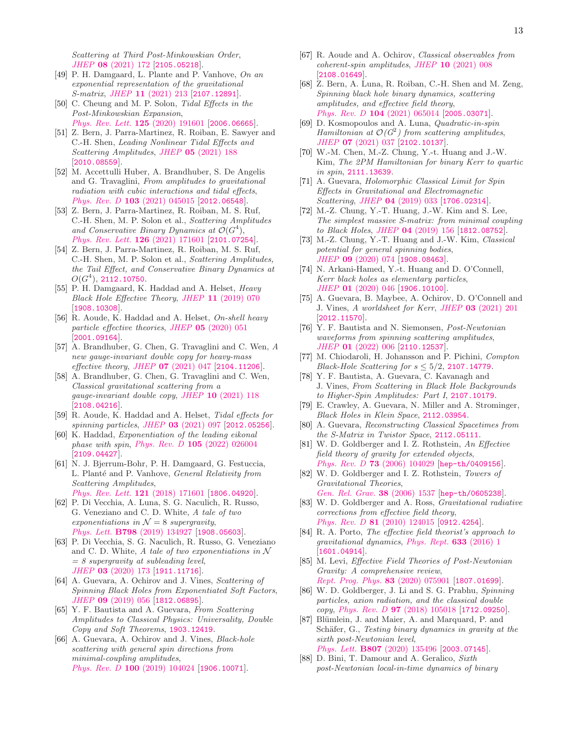Scattering at Third Post-Minkowskian Order, JHEP 08 [\(2021\) 172](https://doi.org/10.1007/JHEP08(2021)172) [[2105.05218](https://arxiv.org/abs/2105.05218)].

- <span id="page-12-0"></span>[49] P. H. Damgaard, L. Plante and P. Vanhove, On an exponential representation of the gravitational S-matrix, JHEP 11 [\(2021\) 213](https://doi.org/10.1007/JHEP11(2021)213) [[2107.12891](https://arxiv.org/abs/2107.12891)].
- <span id="page-12-1"></span>[50] C. Cheung and M. P. Solon, Tidal Effects in the Post-Minkowskian Expansion, [Phys. Rev. Lett.](https://doi.org/10.1103/PhysRevLett.125.191601) 125 (2020) 191601 [[2006.06665](https://arxiv.org/abs/2006.06665)].
- [51] Z. Bern, J. Parra-Martinez, R. Roiban, E. Sawyer and C.-H. Shen, Leading Nonlinear Tidal Effects and Scattering Amplitudes, JHEP 05 [\(2021\) 188](https://doi.org/10.1007/JHEP05(2021)188) [[2010.08559](https://arxiv.org/abs/2010.08559)].
- <span id="page-12-2"></span>[52] M. Accettulli Huber, A. Brandhuber, S. De Angelis and G. Travaglini, From amplitudes to gravitational radiation with cubic interactions and tidal effects, Phys. Rev. D 103 [\(2021\) 045015](https://doi.org/10.1103/PhysRevD.103.045015) [[2012.06548](https://arxiv.org/abs/2012.06548)].
- <span id="page-12-3"></span>[53] Z. Bern, J. Parra-Martinez, R. Roiban, M. S. Ruf, C.-H. Shen, M. P. Solon et al., Scattering Amplitudes and Conservative Binary Dynamics at  $\mathcal{O}(G^4)$ , [Phys. Rev. Lett.](https://doi.org/10.1103/PhysRevLett.126.171601) **126** (2021) 171601 [[2101.07254](https://arxiv.org/abs/2101.07254)].
- <span id="page-12-4"></span>[54] Z. Bern, J. Parra-Martinez, R. Roiban, M. S. Ruf, C.-H. Shen, M. P. Solon et al., Scattering Amplitudes, the Tail Effect, and Conservative Binary Dynamics at  $O(G^4), 2112.10750.$  $O(G^4), 2112.10750.$  $O(G^4), 2112.10750.$
- <span id="page-12-5"></span>[55] P. H. Damgaard, K. Haddad and A. Helset, Heavy Black Hole Effective Theory, JHEP 11 [\(2019\) 070](https://doi.org/10.1007/JHEP11(2019)070) [[1908.10308](https://arxiv.org/abs/1908.10308)].
- [56] R. Aoude, K. Haddad and A. Helset, On-shell heavy particle effective theories, JHEP 05 [\(2020\) 051](https://doi.org/10.1007/JHEP05(2020)051) [[2001.09164](https://arxiv.org/abs/2001.09164)].
- [57] A. Brandhuber, G. Chen, G. Travaglini and C. Wen, A new gauge-invariant double copy for heavy-mass effective theory, JHEP 07 [\(2021\) 047](https://doi.org/10.1007/JHEP07(2021)047) [[2104.11206](https://arxiv.org/abs/2104.11206)].
- [58] A. Brandhuber, G. Chen, G. Travaglini and C. Wen, Classical gravitational scattering from a gauge-invariant double copy, JHEP 10 [\(2021\) 118](https://doi.org/10.1007/JHEP10(2021)118) [[2108.04216](https://arxiv.org/abs/2108.04216)].
- [59] R. Aoude, K. Haddad and A. Helset, Tidal effects for spinning particles, JHEP 03 [\(2021\) 097](https://doi.org/10.1007/JHEP03(2021)097) [[2012.05256](https://arxiv.org/abs/2012.05256)].
- <span id="page-12-6"></span>[60] K. Haddad, Exponentiation of the leading eikonal phase with spin, Phys. Rev. D 105 [\(2022\) 026004](https://doi.org/10.1103/PhysRevD.105.026004) [[2109.04427](https://arxiv.org/abs/2109.04427)].
- <span id="page-12-7"></span>[61] N. J. Bjerrum-Bohr, P. H. Damgaard, G. Festuccia, L. Planté and P. Vanhove, *General Relativity from* Scattering Amplitudes,
- [Phys. Rev. Lett.](https://doi.org/10.1103/PhysRevLett.121.171601) 121 (2018) 171601 [[1806.04920](https://arxiv.org/abs/1806.04920)].
- [62] P. Di Vecchia, A. Luna, S. G. Naculich, R. Russo, G. Veneziano and C. D. White, A tale of two exponentiations in  $\mathcal{N}=8$  supergravity, Phys. Lett. B798 [\(2019\) 134927](https://doi.org/10.1016/j.physletb.2019.134927) [[1908.05603](https://arxiv.org/abs/1908.05603)].
- <span id="page-12-8"></span>[63] P. Di Vecchia, S. G. Naculich, R. Russo, G. Veneziano and C. D. White, A tale of two exponentiations in  $\mathcal N$  $= 8$  supergravity at subleading level, JHEP 03 [\(2020\) 173](https://doi.org/10.1007/JHEP03(2020)173) [[1911.11716](https://arxiv.org/abs/1911.11716)].
- <span id="page-12-9"></span>[64] A. Guevara, A. Ochirov and J. Vines, Scattering of Spinning Black Holes from Exponentiated Soft Factors, JHEP 09 [\(2019\) 056](https://doi.org/10.1007/JHEP09(2019)056) [[1812.06895](https://arxiv.org/abs/1812.06895)].
- [65] Y. F. Bautista and A. Guevara, From Scattering Amplitudes to Classical Physics: Universality, Double Copy and Soft Theorems, [1903.12419](https://arxiv.org/abs/1903.12419).
- [66] A. Guevara, A. Ochirov and J. Vines, Black-hole scattering with general spin directions from minimal-coupling amplitudes, Phys. Rev. D 100 [\(2019\) 104024](https://doi.org/10.1103/PhysRevD.100.104024) [[1906.10071](https://arxiv.org/abs/1906.10071)].
- <span id="page-12-10"></span>[67] R. Aoude and A. Ochirov, Classical observables from coherent-spin amplitudes, JHEP 10 [\(2021\) 008](https://doi.org/10.1007/JHEP10(2021)008) [[2108.01649](https://arxiv.org/abs/2108.01649)].
- <span id="page-12-11"></span>[68] Z. Bern, A. Luna, R. Roiban, C.-H. Shen and M. Zeng, Spinning black hole binary dynamics, scattering amplitudes, and effective field theory, Phys. Rev. D 104 [\(2021\) 065014](https://doi.org/10.1103/PhysRevD.104.065014) [[2005.03071](https://arxiv.org/abs/2005.03071)].
- <span id="page-12-12"></span>[69] D. Kosmopoulos and A. Luna, Quadratic-in-spin Hamiltonian at  $\mathcal{O}(G^2)$  from scattering amplitudes, JHEP 07 [\(2021\) 037](https://doi.org/10.1007/JHEP07(2021)037) [[2102.10137](https://arxiv.org/abs/2102.10137)].
- <span id="page-12-13"></span>[70] W.-M. Chen, M.-Z. Chung, Y.-t. Huang and J.-W. Kim, The 2PM Hamiltonian for binary Kerr to quartic in spin, [2111.13639](https://arxiv.org/abs/2111.13639).
- <span id="page-12-14"></span>[71] A. Guevara, Holomorphic Classical Limit for Spin Effects in Gravitational and Electromagnetic Scattering, JHEP 04 [\(2019\) 033](https://doi.org/10.1007/JHEP04(2019)033) [[1706.02314](https://arxiv.org/abs/1706.02314)].
- [72] M.-Z. Chung, Y.-T. Huang, J.-W. Kim and S. Lee, The simplest massive S-matrix: from minimal coupling to Black Holes, JHEP 04 [\(2019\) 156](https://doi.org/10.1007/JHEP04(2019)156) [[1812.08752](https://arxiv.org/abs/1812.08752)].
- [73] M.-Z. Chung, Y.-T. Huang and J.-W. Kim, Classical potential for general spinning bodies, JHEP 09 [\(2020\) 074](https://doi.org/10.1007/JHEP09(2020)074) [[1908.08463](https://arxiv.org/abs/1908.08463)].
- [74] N. Arkani-Hamed, Y.-t. Huang and D. O'Connell, Kerr black holes as elementary particles, JHEP 01 [\(2020\) 046](https://doi.org/10.1007/JHEP01(2020)046) [[1906.10100](https://arxiv.org/abs/1906.10100)].
- [75] A. Guevara, B. Maybee, A. Ochirov, D. O'Connell and J. Vines, A worldsheet for Kerr, JHEP 03 [\(2021\) 201](https://doi.org/10.1007/JHEP03(2021)201) [[2012.11570](https://arxiv.org/abs/2012.11570)].
- [76] Y. F. Bautista and N. Siemonsen, Post-Newtonian waveforms from spinning scattering amplitudes, JHEP 01 [\(2022\) 006](https://doi.org/10.1007/JHEP01(2022)006) [[2110.12537](https://arxiv.org/abs/2110.12537)].
- [77] M. Chiodaroli, H. Johansson and P. Pichini, Compton Black-Hole Scattering for  $s \leq 5/2$ , [2107.14779](https://arxiv.org/abs/2107.14779).
- [78] Y. F. Bautista, A. Guevara, C. Kavanagh and J. Vines, From Scattering in Black Hole Backgrounds to Higher-Spin Amplitudes: Part I, [2107.10179](https://arxiv.org/abs/2107.10179).
- [79] E. Crawley, A. Guevara, N. Miller and A. Strominger, Black Holes in Klein Space, [2112.03954](https://arxiv.org/abs/2112.03954).
- <span id="page-12-15"></span>[80] A. Guevara, Reconstructing Classical Spacetimes from the S-Matrix in Twistor Space, [2112.05111](https://arxiv.org/abs/2112.05111).
- <span id="page-12-16"></span>[81] W. D. Goldberger and I. Z. Rothstein, An Effective field theory of gravity for extended objects, Phys. Rev. D 73 [\(2006\) 104029](https://doi.org/10.1103/PhysRevD.73.104029) [[hep-th/0409156](https://arxiv.org/abs/hep-th/0409156)].
- [82] W. D. Goldberger and I. Z. Rothstein, Towers of Gravitational Theories, [Gen. Rel. Grav.](https://doi.org/10.1142/S0218271806009698) 38 (2006) 1537 [[hep-th/0605238](https://arxiv.org/abs/hep-th/0605238)].
- [83] W. D. Goldberger and A. Ross, Gravitational radiative corrections from effective field theory, Phys. Rev. D 81 [\(2010\) 124015](https://doi.org/10.1103/PhysRevD.81.124015) [[0912.4254](https://arxiv.org/abs/0912.4254)].
- [84] R. A. Porto, The effective field theorist's approach to gravitational dynamics, [Phys. Rept.](https://doi.org/10.1016/j.physrep.2016.04.003) 633 (2016) 1 [[1601.04914](https://arxiv.org/abs/1601.04914)].
- [85] M. Levi, Effective Field Theories of Post-Newtonian Gravity: A comprehensive review, [Rept. Prog. Phys.](https://doi.org/10.1088/1361-6633/ab12bc) 83 (2020) 075901 [[1807.01699](https://arxiv.org/abs/1807.01699)].
- <span id="page-12-17"></span>[86] W. D. Goldberger, J. Li and S. G. Prabhu, Spinning particles, axion radiation, and the classical double copy, Phys. Rev. D 97 [\(2018\) 105018](https://doi.org/10.1103/PhysRevD.97.105018) [[1712.09250](https://arxiv.org/abs/1712.09250)].
- <span id="page-12-18"></span>[87] Blümlein, J. and Maier, A. and Marquard, P. and Schäfer, G., Testing binary dynamics in gravity at the sixth post-Newtonian level, Phys. Lett. B807 [\(2020\) 135496](https://doi.org/10.1016/j.physletb.2020.135496) [[2003.07145](https://arxiv.org/abs/2003.07145)].
- [88] D. Bini, T. Damour and A. Geralico, Sixth post-Newtonian local-in-time dynamics of binary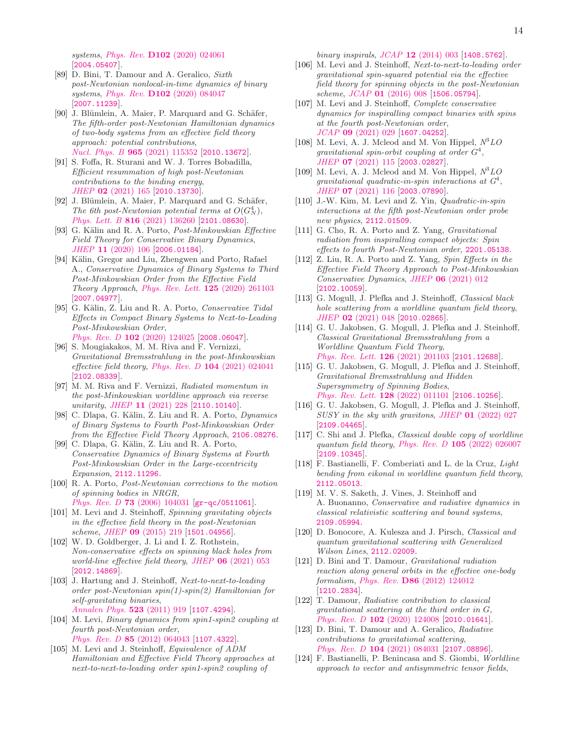systems, *Phys. Rev.* **D102** [\(2020\) 024061](https://doi.org/10.1103/PhysRevD.102.024061) [[2004.05407](https://arxiv.org/abs/2004.05407)].

- [89] D. Bini, T. Damour and A. Geralico, Sixth post-Newtonian nonlocal-in-time dynamics of binary systems, Phys. Rev. D102 [\(2020\) 084047](https://doi.org/10.1103/PhysRevD.102.084047) [[2007.11239](https://arxiv.org/abs/2007.11239)].
- [90] J. Blümlein, A. Maier, P. Marquard and G. Schäfer, The fifth-order post-Newtonian Hamiltonian dynamics of two-body systems from an effective field theory approach: potential contributions, [Nucl. Phys. B](https://doi.org/10.1016/j.nuclphysb.2021.115352) 965 (2021) 115352 [[2010.13672](https://arxiv.org/abs/2010.13672)].
- [91] S. Foffa, R. Sturani and W. J. Torres Bobadilla, Efficient resummation of high post-Newtonian contributions to the binding energy, JHEP 02 [\(2021\) 165](https://doi.org/10.1007/JHEP02(2021)165) [[2010.13730](https://arxiv.org/abs/2010.13730)].
- <span id="page-13-0"></span>[92] J. Blümlein, A. Maier, P. Marquard and G. Schäfer, The 6th post-Newtonian potential terms at  $O(G_N^4)$ , Phys. Lett. B 816 [\(2021\) 136260](https://doi.org/10.1016/j.physletb.2021.136260) [[2101.08630](https://arxiv.org/abs/2101.08630)].
- <span id="page-13-1"></span>[93] G. Kälin and R. A. Porto, Post-Minkowskian Effective Field Theory for Conservative Binary Dynamics, JHEP 11 [\(2020\) 106](https://doi.org/10.1007/JHEP11(2020)106) [[2006.01184](https://arxiv.org/abs/2006.01184)].
- [94] Kälin, Gregor and Liu, Zhengwen and Porto, Rafael A., Conservative Dynamics of Binary Systems to Third Post-Minkowskian Order from the Effective Field Theory Approach, [Phys. Rev. Lett.](https://doi.org/10.1103/PhysRevLett.125.261103) 125 (2020) 261103 [[2007.04977](https://arxiv.org/abs/2007.04977)].
- [95] G. Kälin, Z. Liu and R. A. Porto, Conservative Tidal Effects in Compact Binary Systems to Next-to-Leading Post-Minkowskian Order, Phys. Rev. D 102 [\(2020\) 124025](https://doi.org/10.1103/PhysRevD.102.124025) [[2008.06047](https://arxiv.org/abs/2008.06047)].
- [96] S. Mougiakakos, M. M. Riva and F. Vernizzi, Gravitational Bremsstrahlung in the post-Minkowskian effective field theory, Phys. Rev.  $D$  104 [\(2021\) 024041](https://doi.org/10.1103/PhysRevD.104.024041) [[2102.08339](https://arxiv.org/abs/2102.08339)].
- <span id="page-13-2"></span>[97] M. M. Riva and F. Vernizzi, Radiated momentum in the post-Minkowskian worldline approach via reverse unitarity, JHEP 11 [\(2021\) 228](https://doi.org/10.1007/JHEP11(2021)228) [[2110.10140](https://arxiv.org/abs/2110.10140)].
- <span id="page-13-3"></span>[98] C. Dlapa, G. Kälin, Z. Liu and R. A. Porto, Dynamics of Binary Systems to Fourth Post-Minkowskian Order from the Effective Field Theory Approach, [2106.08276](https://arxiv.org/abs/2106.08276).
- <span id="page-13-4"></span>[99] C. Dlapa, G. Kälin, Z. Liu and R. A. Porto, Conservative Dynamics of Binary Systems at Fourth Post-Minkowskian Order in the Large-eccentricity Expansion, [2112.11296](https://arxiv.org/abs/2112.11296).
- <span id="page-13-5"></span>[100] R. A. Porto, Post-Newtonian corrections to the motion of spinning bodies in NRGR, Phys. Rev. D 73 [\(2006\) 104031](https://doi.org/10.1103/PhysRevD.73.104031) [[gr-qc/0511061](https://arxiv.org/abs/gr-qc/0511061)].
- [101] M. Levi and J. Steinhoff, Spinning gravitating objects in the effective field theory in the post-Newtonian scheme, JHEP 09 [\(2015\) 219](https://doi.org/10.1007/JHEP09(2015)219) [[1501.04956](https://arxiv.org/abs/1501.04956)].
- <span id="page-13-6"></span>[102] W. D. Goldberger, J. Li and I. Z. Rothstein, Non-conservative effects on spinning black holes from world-line effective field theory, JHEP 06 [\(2021\) 053](https://doi.org/10.1007/JHEP06(2021)053) [[2012.14869](https://arxiv.org/abs/2012.14869)].
- <span id="page-13-7"></span>[103] J. Hartung and J. Steinhoff, Next-to-next-to-leading order post-Newtonian spin(1)-spin(2) Hamiltonian for self-gravitating binaries, [Annalen Phys.](https://doi.org/10.1002/andp.201100163) 523 (2011) 919 [[1107.4294](https://arxiv.org/abs/1107.4294)].
- [104] M. Levi, Binary dynamics from spin1-spin2 coupling at fourth post-Newtonian order, Phys. Rev. D 85 [\(2012\) 064043](https://doi.org/10.1103/PhysRevD.85.064043) [[1107.4322](https://arxiv.org/abs/1107.4322)].
- [105] M. Levi and J. Steinhoff, Equivalence of ADM Hamiltonian and Effective Field Theory approaches at next-to-next-to-leading order spin1-spin2 coupling of

binary inspirals, JCAP 12 [\(2014\) 003](https://doi.org/10.1088/1475-7516/2014/12/003) [[1408.5762](https://arxiv.org/abs/1408.5762)].

- <span id="page-13-20"></span>[106] M. Levi and J. Steinhoff, Next-to-next-to-leading order gravitational spin-squared potential via the effective field theory for spinning objects in the post-Newtonian scheme, JCAP 01 [\(2016\) 008](https://doi.org/10.1088/1475-7516/2016/01/008) [[1506.05794](https://arxiv.org/abs/1506.05794)].
- <span id="page-13-21"></span>[107] M. Levi and J. Steinhoff, Complete conservative dynamics for inspiralling compact binaries with spins at the fourth post-Newtonian order, JCAP 09 [\(2021\) 029](https://doi.org/10.1088/1475-7516/2021/09/029) [[1607.04252](https://arxiv.org/abs/1607.04252)].
- [108] M. Levi, A. J. Mcleod and M. Von Hippel,  $N^3LO$ gravitational spin-orbit coupling at order  $G^4$ , JHEP 07 [\(2021\) 115](https://doi.org/10.1007/JHEP07(2021)115) [[2003.02827](https://arxiv.org/abs/2003.02827)].
- [109] M. Levi, A. J. Mcleod and M. Von Hippel,  $N^3LO$ gravitational quadratic-in-spin interactions at  $G^4$ , JHEP 07 [\(2021\) 116](https://doi.org/10.1007/JHEP07(2021)116) [[2003.07890](https://arxiv.org/abs/2003.07890)].
- [110] J.-W. Kim, M. Levi and Z. Yin, Quadratic-in-spin interactions at the fifth post-Newtonian order probe new physics, [2112.01509](https://arxiv.org/abs/2112.01509).
- <span id="page-13-8"></span>[111] G. Cho, R. A. Porto and Z. Yang, Gravitational radiation from inspiralling compact objects: Spin effects to fourth Post-Newtonian order, [2201.05138](https://arxiv.org/abs/2201.05138).
- <span id="page-13-9"></span>[112] Z. Liu, R. A. Porto and Z. Yang, Spin Effects in the Effective Field Theory Approach to Post-Minkowskian Conservative Dynamics, JHEP 06 [\(2021\) 012](https://doi.org/10.1007/JHEP06(2021)012) [[2102.10059](https://arxiv.org/abs/2102.10059)].
- <span id="page-13-10"></span>[113] G. Mogull, J. Plefka and J. Steinhoff, Classical black hole scattering from a worldline quantum field theory, JHEP 02 [\(2021\) 048](https://doi.org/10.1007/JHEP02(2021)048) [[2010.02865](https://arxiv.org/abs/2010.02865)].
- [114] G. U. Jakobsen, G. Mogull, J. Plefka and J. Steinhoff, Classical Gravitational Bremsstrahlung from a Worldline Quantum Field Theory, [Phys. Rev. Lett.](https://doi.org/10.1103/PhysRevLett.126.201103) **126** (2021) 201103 [[2101.12688](https://arxiv.org/abs/2101.12688)].
- <span id="page-13-12"></span>[115] G. U. Jakobsen, G. Mogull, J. Plefka and J. Steinhoff, Gravitational Bremsstrahlung and Hidden Supersymmetry of Spinning Bodies, [Phys. Rev. Lett.](https://doi.org/10.1103/PhysRevLett.128.011101) 128 (2022) 011101 [[2106.10256](https://arxiv.org/abs/2106.10256)].
- <span id="page-13-11"></span>[116] G. U. Jakobsen, G. Mogull, J. Plefka and J. Steinhoff,  $SUSY$  in the sky with gravitons, JHEP  $01$  [\(2022\) 027](https://doi.org/10.1007/JHEP01(2022)027) [[2109.04465](https://arxiv.org/abs/2109.04465)].
- <span id="page-13-13"></span>[117] C. Shi and J. Plefka, *Classical double copy of worldline* quantum field theory, Phys. Rev.  $D$  105 [\(2022\) 026007](https://doi.org/10.1103/PhysRevD.105.026007) [[2109.10345](https://arxiv.org/abs/2109.10345)].
- <span id="page-13-14"></span>[118] F. Bastianelli, F. Comberiati and L. de la Cruz, Light bending from eikonal in worldline quantum field theory, [2112.05013](https://arxiv.org/abs/2112.05013).
- <span id="page-13-15"></span>[119] M. V. S. Saketh, J. Vines, J. Steinhoff and A. Buonanno, Conservative and radiative dynamics in classical relativistic scattering and bound systems, [2109.05994](https://arxiv.org/abs/2109.05994).
- <span id="page-13-16"></span>[120] D. Bonocore, A. Kulesza and J. Pirsch, Classical and quantum gravitational scattering with Generalized Wilson Lines, [2112.02009](https://arxiv.org/abs/2112.02009).
- <span id="page-13-17"></span>[121] D. Bini and T. Damour, Gravitational radiation reaction along general orbits in the effective one-body formalism, Phys. Rev. D86 [\(2012\) 124012](https://doi.org/10.1103/PhysRevD.86.124012) [[1210.2834](https://arxiv.org/abs/1210.2834)].
- [122] T. Damour, Radiative contribution to classical gravitational scattering at the third order in G, Phys. Rev. D 102 [\(2020\) 124008](https://doi.org/10.1103/PhysRevD.102.124008) [[2010.01641](https://arxiv.org/abs/2010.01641)].
- <span id="page-13-18"></span>[123] D. Bini, T. Damour and A. Geralico, Radiative contributions to gravitational scattering, Phys. Rev. D 104 [\(2021\) 084031](https://doi.org/10.1103/PhysRevD.104.084031) [[2107.08896](https://arxiv.org/abs/2107.08896)].
- <span id="page-13-19"></span>[124] F. Bastianelli, P. Benincasa and S. Giombi, Worldline approach to vector and antisymmetric tensor fields,